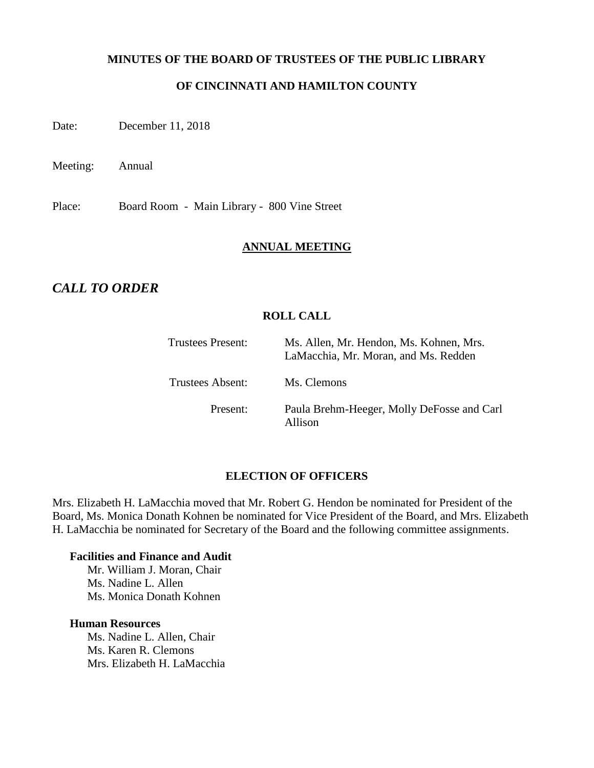#### **MINUTES OF THE BOARD OF TRUSTEES OF THE PUBLIC LIBRARY**

## **OF CINCINNATI AND HAMILTON COUNTY**

Date: December 11, 2018

Meeting: Annual

Place: Board Room - Main Library - 800 Vine Street

#### **ANNUAL MEETING**

## *CALL TO ORDER*

## **ROLL CALL**

| Trustees Present:       | Ms. Allen, Mr. Hendon, Ms. Kohnen, Mrs.<br>LaMacchia, Mr. Moran, and Ms. Redden |
|-------------------------|---------------------------------------------------------------------------------|
| <b>Trustees Absent:</b> | Ms. Clemons                                                                     |
| Present:                | Paula Brehm-Heeger, Molly DeFosse and Carl<br>Allison                           |

#### **ELECTION OF OFFICERS**

Mrs. Elizabeth H. LaMacchia moved that Mr. Robert G. Hendon be nominated for President of the Board, Ms. Monica Donath Kohnen be nominated for Vice President of the Board, and Mrs. Elizabeth H. LaMacchia be nominated for Secretary of the Board and the following committee assignments.

#### **Facilities and Finance and Audit**

Mr. William J. Moran, Chair Ms. Nadine L. Allen Ms. Monica Donath Kohnen

#### **Human Resources**

Ms. Nadine L. Allen, Chair Ms. Karen R. Clemons Mrs. Elizabeth H. LaMacchia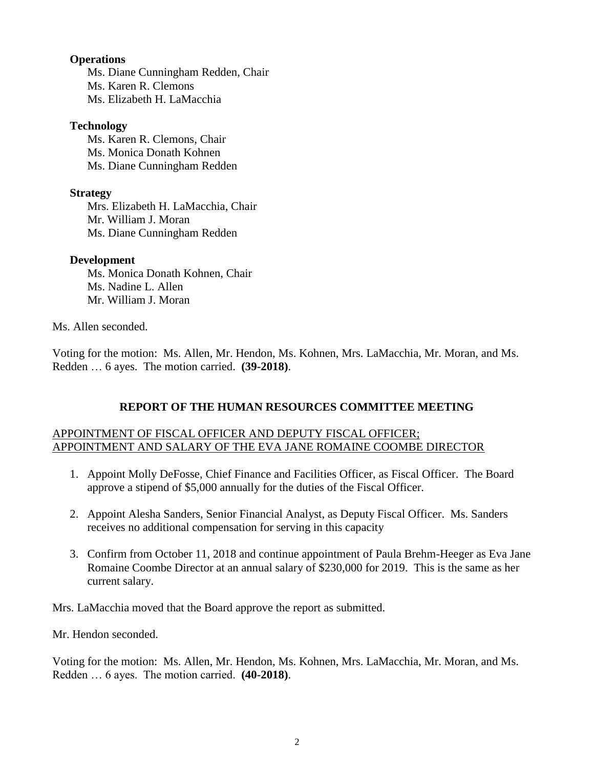#### **Operations**

Ms. Diane Cunningham Redden, Chair Ms. Karen R. Clemons Ms. Elizabeth H. LaMacchia

#### **Technology**

Ms. Karen R. Clemons, Chair Ms. Monica Donath Kohnen Ms. Diane Cunningham Redden

#### **Strategy**

Mrs. Elizabeth H. LaMacchia, Chair Mr. William J. Moran Ms. Diane Cunningham Redden

#### **Development**

Ms. Monica Donath Kohnen, Chair Ms. Nadine L. Allen Mr. William J. Moran

#### Ms. Allen seconded.

Voting for the motion: Ms. Allen, Mr. Hendon, Ms. Kohnen, Mrs. LaMacchia, Mr. Moran, and Ms. Redden … 6 ayes. The motion carried. **(39-2018)**.

## **REPORT OF THE HUMAN RESOURCES COMMITTEE MEETING**

#### APPOINTMENT OF FISCAL OFFICER AND DEPUTY FISCAL OFFICER; APPOINTMENT AND SALARY OF THE EVA JANE ROMAINE COOMBE DIRECTOR

- 1. Appoint Molly DeFosse, Chief Finance and Facilities Officer, as Fiscal Officer. The Board approve a stipend of \$5,000 annually for the duties of the Fiscal Officer.
- 2. Appoint Alesha Sanders, Senior Financial Analyst, as Deputy Fiscal Officer. Ms. Sanders receives no additional compensation for serving in this capacity
- 3. Confirm from October 11, 2018 and continue appointment of Paula Brehm-Heeger as Eva Jane Romaine Coombe Director at an annual salary of \$230,000 for 2019. This is the same as her current salary.

Mrs. LaMacchia moved that the Board approve the report as submitted.

Mr. Hendon seconded.

Voting for the motion: Ms. Allen, Mr. Hendon, Ms. Kohnen, Mrs. LaMacchia, Mr. Moran, and Ms. Redden … 6 ayes. The motion carried. **(40-2018)**.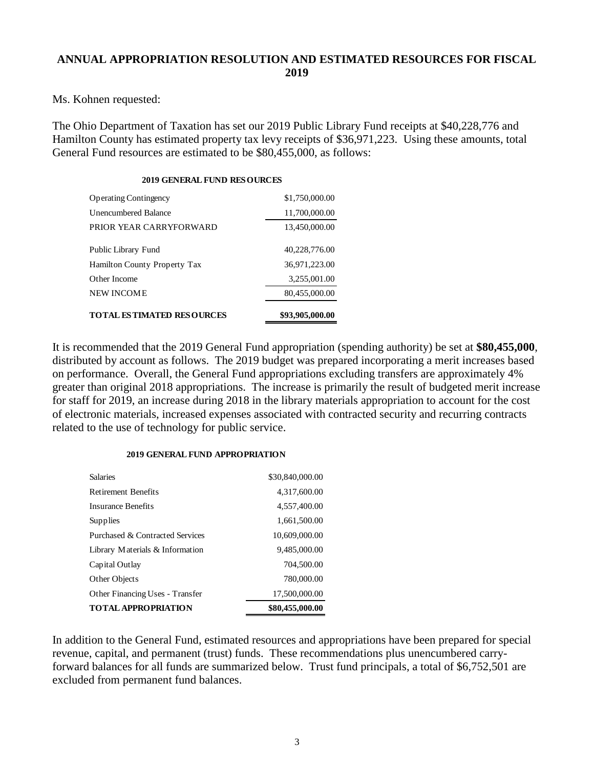### **ANNUAL APPROPRIATION RESOLUTION AND ESTIMATED RESOURCES FOR FISCAL 2019**

Ms. Kohnen requested:

The Ohio Department of Taxation has set our 2019 Public Library Fund receipts at \$40,228,776 and Hamilton County has estimated property tax levy receipts of \$36,971,223. Using these amounts, total General Fund resources are estimated to be \$80,455,000, as follows:

# **2019 GENERAL FUND RESOURCES**

| TOTAL ESTIMATED RESOURCES    | \$93,905,000.00 |
|------------------------------|-----------------|
| NEW INCOME                   | 80,455,000.00   |
| Other Income                 | 3,255,001.00    |
| Hamilton County Property Tax | 36,971,223.00   |
| Public Library Fund          | 40,228,776.00   |
| PRIOR YEAR CARRYFORWARD      | 13,450,000.00   |
| Unencumbered Balance         | 11,700,000.00   |
| <b>Operating Contingency</b> | \$1,750,000.00  |

It is recommended that the 2019 General Fund appropriation (spending authority) be set at **\$80,455,000**, distributed by account as follows. The 2019 budget was prepared incorporating a merit increases based on performance. Overall, the General Fund appropriations excluding transfers are approximately 4% greater than original 2018 appropriations. The increase is primarily the result of budgeted merit increase for staff for 2019, an increase during 2018 in the library materials appropriation to account for the cost of electronic materials, increased expenses associated with contracted security and recurring contracts related to the use of technology for public service.

#### **2019 GENERAL FUND APPROPRIATION**

| <b>Salaries</b>                 | \$30,840,000.00 |
|---------------------------------|-----------------|
| <b>Retirement Benefits</b>      | 4,317,600.00    |
| Insurance Benefits              | 4,557,400.00    |
| Supplies                        | 1,661,500.00    |
| Purchased & Contracted Services | 10,609,000.00   |
| Library Materials & Information | 9,485,000.00    |
| Capital Outlay                  | 704,500.00      |
| Other Objects                   | 780,000.00      |
| Other Financing Uses - Transfer | 17,500,000.00   |
| <b>TOTAL APPROPRIATION</b>      | \$80,455,000.00 |

In addition to the General Fund, estimated resources and appropriations have been prepared for special revenue, capital, and permanent (trust) funds. These recommendations plus unencumbered carryforward balances for all funds are summarized below. Trust fund principals, a total of \$6,752,501 are excluded from permanent fund balances.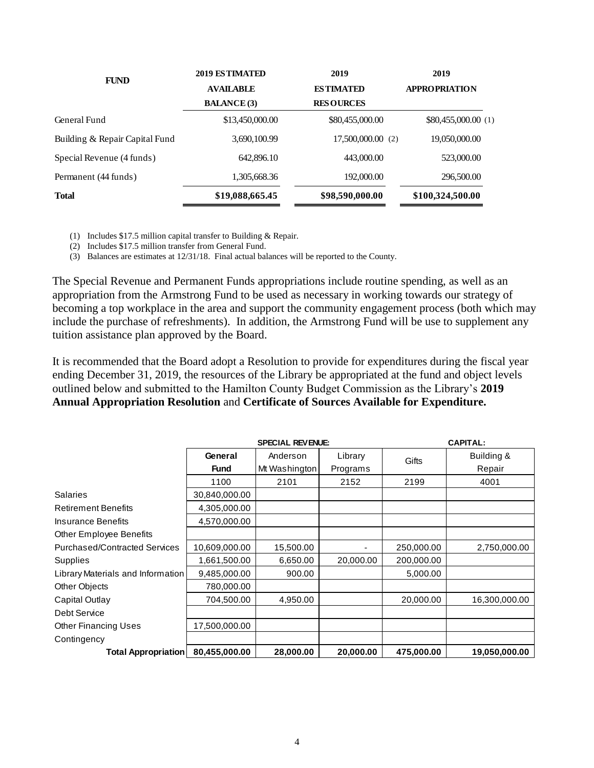| <b>FUND</b>                    | 2019 ESTIMATED     | 2019             | 2019                 |
|--------------------------------|--------------------|------------------|----------------------|
|                                | <b>AVAILABLE</b>   | <b>ESTIMATED</b> | <b>APPROPRIATION</b> |
|                                | <b>BALANCE</b> (3) | <b>RESOURCES</b> |                      |
| General Fund                   | \$13,450,000.00    | \$80,455,000.00  | \$80,455,000.00 (1)  |
| Building & Repair Capital Fund | 3,690,100.99       | 17,500,000.00(2) | 19,050,000.00        |
| Special Revenue (4 funds)      | 642,896.10         | 443,000.00       | 523,000.00           |
| Permanent (44 funds)           | 1,305,668.36       | 192,000.00       | 296,500.00           |
| <b>Total</b>                   | \$19,088,665.45    | \$98,590,000.00  | \$100,324,500.00     |

(1) Includes \$17.5 million capital transfer to Building & Repair.

(2) Includes \$17.5 million transfer from General Fund.

(3) Balances are estimates at 12/31/18. Final actual balances will be reported to the County.

The Special Revenue and Permanent Funds appropriations include routine spending, as well as an appropriation from the Armstrong Fund to be used as necessary in working towards our strategy of becoming a top workplace in the area and support the community engagement process (both which may include the purchase of refreshments). In addition, the Armstrong Fund will be use to supplement any tuition assistance plan approved by the Board.

It is recommended that the Board adopt a Resolution to provide for expenditures during the fiscal year ending December 31, 2019, the resources of the Library be appropriated at the fund and object levels outlined below and submitted to the Hamilton County Budget Commission as the Library's **2019 Annual Appropriation Resolution** and **Certificate of Sources Available for Expenditure.**

|                                   |               | <b>SPECIAL REVENUE:</b> | <b>CAPITAL:</b> |            |               |
|-----------------------------------|---------------|-------------------------|-----------------|------------|---------------|
|                                   | General       | Anderson                | Library         | Gifts      | Building &    |
|                                   | <b>Fund</b>   | Mt Washington           | Programs        |            | Repair        |
|                                   | 1100          | 2101                    | 2152            | 2199       | 4001          |
| Salaries                          | 30,840,000.00 |                         |                 |            |               |
| <b>Retirement Benefits</b>        | 4,305,000.00  |                         |                 |            |               |
| Insurance Benefits                | 4,570,000.00  |                         |                 |            |               |
| Other Employee Benefits           |               |                         |                 |            |               |
| Purchased/Contracted Services     | 10,609,000.00 | 15,500.00               |                 | 250,000.00 | 2,750,000.00  |
| Supplies                          | 1,661,500.00  | 6,650.00                | 20,000.00       | 200,000.00 |               |
| Library Materials and Information | 9,485,000.00  | 900.00                  |                 | 5,000.00   |               |
| Other Objects                     | 780,000.00    |                         |                 |            |               |
| Capital Outlay                    | 704,500.00    | 4,950.00                |                 | 20,000.00  | 16,300,000.00 |
| Debt Service                      |               |                         |                 |            |               |
| <b>Other Financing Uses</b>       | 17,500,000.00 |                         |                 |            |               |
| Contingency                       |               |                         |                 |            |               |
| <b>Total Appropriation</b>        | 80,455,000.00 | 28,000.00               | 20,000.00       | 475,000.00 | 19,050,000.00 |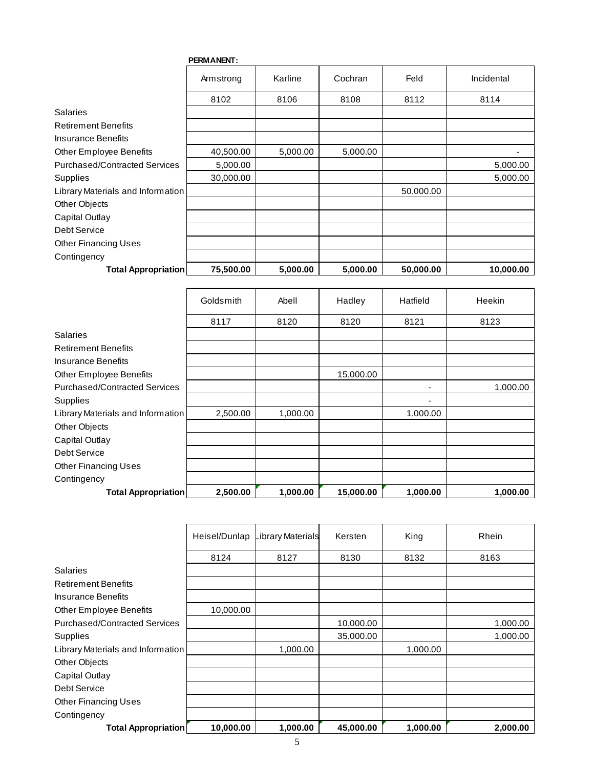|                                      | <b>PERMANENT:</b> |          |          |           |            |
|--------------------------------------|-------------------|----------|----------|-----------|------------|
|                                      | Armstrong         | Karline  | Cochran  | Feld      | Incidental |
|                                      | 8102              | 8106     | 8108     | 8112      | 8114       |
| <b>Salaries</b>                      |                   |          |          |           |            |
| <b>Retirement Benefits</b>           |                   |          |          |           |            |
| Insurance Benefits                   |                   |          |          |           |            |
| Other Employee Benefits              | 40,500.00         | 5,000.00 | 5,000.00 |           |            |
| <b>Purchased/Contracted Services</b> | 5,000.00          |          |          |           | 5,000.00   |
| Supplies                             | 30,000.00         |          |          |           | 5,000.00   |
| Library Materials and Information    |                   |          |          | 50,000.00 |            |
| Other Objects                        |                   |          |          |           |            |
| Capital Outlay                       |                   |          |          |           |            |
| Debt Service                         |                   |          |          |           |            |
| <b>Other Financing Uses</b>          |                   |          |          |           |            |
| Contingency                          |                   |          |          |           |            |
| <b>Total Appropriation</b>           | 75,500.00         | 5,000.00 | 5,000.00 | 50,000.00 | 10,000.00  |

|                                      | Goldsmith | Abell    | Hadley    | Hatfield                 | <b>Heekin</b> |
|--------------------------------------|-----------|----------|-----------|--------------------------|---------------|
|                                      | 8117      | 8120     | 8120      | 8121                     | 8123          |
| Salaries                             |           |          |           |                          |               |
| <b>Retirement Benefits</b>           |           |          |           |                          |               |
| Insurance Benefits                   |           |          |           |                          |               |
| Other Employee Benefits              |           |          | 15,000.00 |                          |               |
| <b>Purchased/Contracted Services</b> |           |          |           | $\overline{\phantom{0}}$ | 1,000.00      |
| <b>Supplies</b>                      |           |          |           |                          |               |
| Library Materials and Information    | 2,500.00  | 1,000.00 |           | 1,000.00                 |               |
| Other Objects                        |           |          |           |                          |               |
| Capital Outlay                       |           |          |           |                          |               |
| Debt Service                         |           |          |           |                          |               |
| <b>Other Financing Uses</b>          |           |          |           |                          |               |
| Contingency                          |           |          |           |                          |               |
| <b>Total Appropriation</b>           | 2,500.00  | 1,000.00 | 15,000.00 | 1,000.00                 | 1,000.00      |

|                                      | Heisel/Dunlap | Library Materials | Kersten   | King     | Rhein    |
|--------------------------------------|---------------|-------------------|-----------|----------|----------|
|                                      | 8124          | 8127              | 8130      | 8132     | 8163     |
| <b>Salaries</b>                      |               |                   |           |          |          |
| <b>Retirement Benefits</b>           |               |                   |           |          |          |
| <b>Insurance Benefits</b>            |               |                   |           |          |          |
| <b>Other Employee Benefits</b>       | 10,000.00     |                   |           |          |          |
| <b>Purchased/Contracted Services</b> |               |                   | 10,000.00 |          | 1,000.00 |
| Supplies                             |               |                   | 35,000.00 |          | 1,000.00 |
| Library Materials and Information    |               | 1,000.00          |           | 1,000.00 |          |
| Other Objects                        |               |                   |           |          |          |
| Capital Outlay                       |               |                   |           |          |          |
| Debt Service                         |               |                   |           |          |          |
| <b>Other Financing Uses</b>          |               |                   |           |          |          |
| Contingency                          |               |                   |           |          |          |
| Total Appropriation                  | 10,000.00     | 1,000.00          | 45,000.00 | 1,000.00 | 2,000.00 |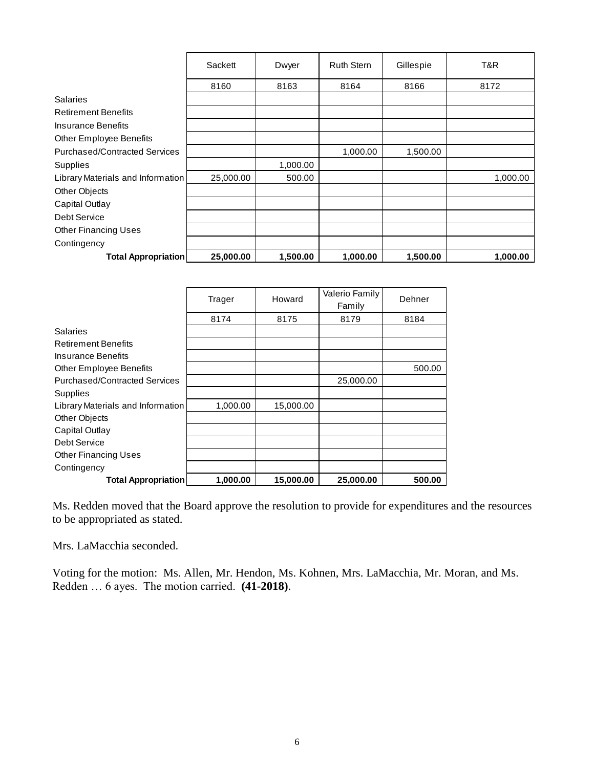|                                      | Sackett   | Dwyer    | <b>Ruth Stern</b> | Gillespie | T&R      |
|--------------------------------------|-----------|----------|-------------------|-----------|----------|
|                                      | 8160      | 8163     | 8164              | 8166      | 8172     |
| Salaries                             |           |          |                   |           |          |
| <b>Retirement Benefits</b>           |           |          |                   |           |          |
| <b>Insurance Benefits</b>            |           |          |                   |           |          |
| Other Employee Benefits              |           |          |                   |           |          |
| <b>Purchased/Contracted Services</b> |           |          | 1,000.00          | 1,500.00  |          |
| Supplies                             |           | 1,000.00 |                   |           |          |
| Library Materials and Information    | 25,000.00 | 500.00   |                   |           | 1,000.00 |
| Other Objects                        |           |          |                   |           |          |
| Capital Outlay                       |           |          |                   |           |          |
| Debt Service                         |           |          |                   |           |          |
| <b>Other Financing Uses</b>          |           |          |                   |           |          |
| Contingency                          |           |          |                   |           |          |
| <b>Total Appropriation</b>           | 25,000.00 | 1,500.00 | 1,000.00          | 1,500.00  | 1,000.00 |

|                                      | Trager   | Howard    | Valerio Family<br>Family | Dehner |
|--------------------------------------|----------|-----------|--------------------------|--------|
|                                      | 8174     | 8175      | 8179                     | 8184   |
| <b>Salaries</b>                      |          |           |                          |        |
| <b>Retirement Benefits</b>           |          |           |                          |        |
| Insurance Benefits                   |          |           |                          |        |
| Other Employee Benefits              |          |           |                          | 500.00 |
| <b>Purchased/Contracted Services</b> |          |           | 25,000.00                |        |
| Supplies                             |          |           |                          |        |
| Library Materials and Information    | 1,000.00 | 15,000.00 |                          |        |
| Other Objects                        |          |           |                          |        |
| Capital Outlay                       |          |           |                          |        |
| Debt Service                         |          |           |                          |        |
| <b>Other Financing Uses</b>          |          |           |                          |        |
| Contingency                          |          |           |                          |        |
| <b>Total Appropriation</b>           | 1,000.00 | 15,000.00 | 25,000.00                | 500.00 |

Ms. Redden moved that the Board approve the resolution to provide for expenditures and the resources to be appropriated as stated.

Mrs. LaMacchia seconded.

Voting for the motion: Ms. Allen, Mr. Hendon, Ms. Kohnen, Mrs. LaMacchia, Mr. Moran, and Ms. Redden … 6 ayes. The motion carried. **(41-2018)**.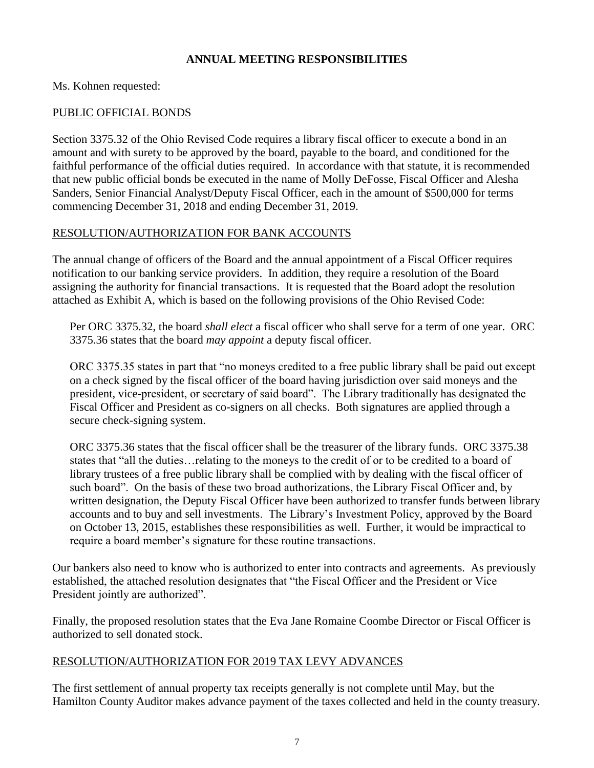## **ANNUAL MEETING RESPONSIBILITIES**

### Ms. Kohnen requested:

### PUBLIC OFFICIAL BONDS

Section 3375.32 of the Ohio Revised Code requires a library fiscal officer to execute a bond in an amount and with surety to be approved by the board, payable to the board, and conditioned for the faithful performance of the official duties required. In accordance with that statute, it is recommended that new public official bonds be executed in the name of Molly DeFosse, Fiscal Officer and Alesha Sanders, Senior Financial Analyst/Deputy Fiscal Officer, each in the amount of \$500,000 for terms commencing December 31, 2018 and ending December 31, 2019.

### RESOLUTION/AUTHORIZATION FOR BANK ACCOUNTS

The annual change of officers of the Board and the annual appointment of a Fiscal Officer requires notification to our banking service providers. In addition, they require a resolution of the Board assigning the authority for financial transactions. It is requested that the Board adopt the resolution attached as Exhibit A, which is based on the following provisions of the Ohio Revised Code:

Per ORC 3375.32, the board *shall elect* a fiscal officer who shall serve for a term of one year. ORC 3375.36 states that the board *may appoint* a deputy fiscal officer.

ORC 3375.35 states in part that "no moneys credited to a free public library shall be paid out except on a check signed by the fiscal officer of the board having jurisdiction over said moneys and the president, vice-president, or secretary of said board". The Library traditionally has designated the Fiscal Officer and President as co-signers on all checks. Both signatures are applied through a secure check-signing system.

ORC 3375.36 states that the fiscal officer shall be the treasurer of the library funds. ORC 3375.38 states that "all the duties…relating to the moneys to the credit of or to be credited to a board of library trustees of a free public library shall be complied with by dealing with the fiscal officer of such board". On the basis of these two broad authorizations, the Library Fiscal Officer and, by written designation, the Deputy Fiscal Officer have been authorized to transfer funds between library accounts and to buy and sell investments. The Library's Investment Policy, approved by the Board on October 13, 2015, establishes these responsibilities as well. Further, it would be impractical to require a board member's signature for these routine transactions.

Our bankers also need to know who is authorized to enter into contracts and agreements. As previously established, the attached resolution designates that "the Fiscal Officer and the President or Vice President jointly are authorized".

Finally, the proposed resolution states that the Eva Jane Romaine Coombe Director or Fiscal Officer is authorized to sell donated stock.

## RESOLUTION/AUTHORIZATION FOR 2019 TAX LEVY ADVANCES

The first settlement of annual property tax receipts generally is not complete until May, but the Hamilton County Auditor makes advance payment of the taxes collected and held in the county treasury.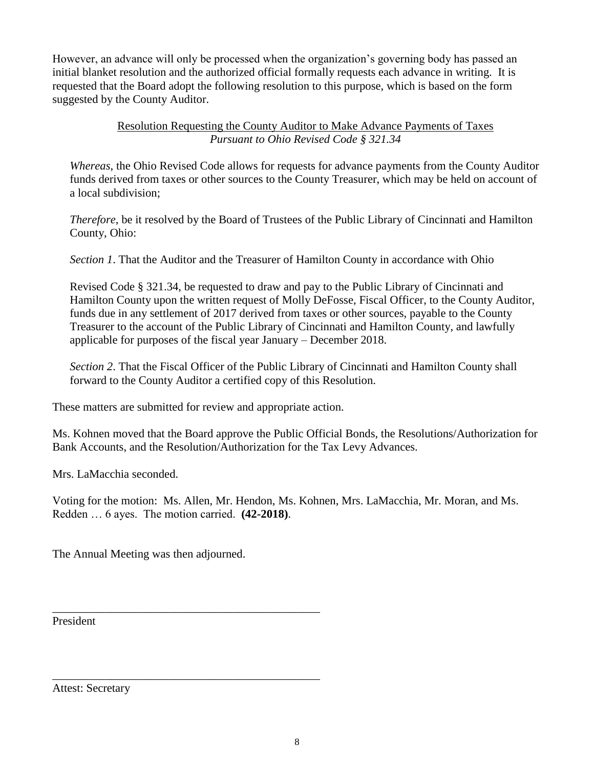However, an advance will only be processed when the organization's governing body has passed an initial blanket resolution and the authorized official formally requests each advance in writing. It is requested that the Board adopt the following resolution to this purpose, which is based on the form suggested by the County Auditor.

## Resolution Requesting the County Auditor to Make Advance Payments of Taxes *Pursuant to Ohio Revised Code § 321.34*

*Whereas*, the Ohio Revised Code allows for requests for advance payments from the County Auditor funds derived from taxes or other sources to the County Treasurer, which may be held on account of a local subdivision;

*Therefore*, be it resolved by the Board of Trustees of the Public Library of Cincinnati and Hamilton County, Ohio:

*Section 1*. That the Auditor and the Treasurer of Hamilton County in accordance with Ohio

Revised Code § 321.34, be requested to draw and pay to the Public Library of Cincinnati and Hamilton County upon the written request of Molly DeFosse, Fiscal Officer, to the County Auditor, funds due in any settlement of 2017 derived from taxes or other sources, payable to the County Treasurer to the account of the Public Library of Cincinnati and Hamilton County, and lawfully applicable for purposes of the fiscal year January – December 2018.

*Section 2*. That the Fiscal Officer of the Public Library of Cincinnati and Hamilton County shall forward to the County Auditor a certified copy of this Resolution.

These matters are submitted for review and appropriate action.

Ms. Kohnen moved that the Board approve the Public Official Bonds, the Resolutions/Authorization for Bank Accounts, and the Resolution/Authorization for the Tax Levy Advances.

Mrs. LaMacchia seconded.

Voting for the motion: Ms. Allen, Mr. Hendon, Ms. Kohnen, Mrs. LaMacchia, Mr. Moran, and Ms. Redden … 6 ayes. The motion carried. **(42-2018)**.

The Annual Meeting was then adjourned.

\_\_\_\_\_\_\_\_\_\_\_\_\_\_\_\_\_\_\_\_\_\_\_\_\_\_\_\_\_\_\_\_\_\_\_\_\_\_\_\_\_\_\_\_\_\_

\_\_\_\_\_\_\_\_\_\_\_\_\_\_\_\_\_\_\_\_\_\_\_\_\_\_\_\_\_\_\_\_\_\_\_\_\_\_\_\_\_\_\_\_\_\_

President

Attest: Secretary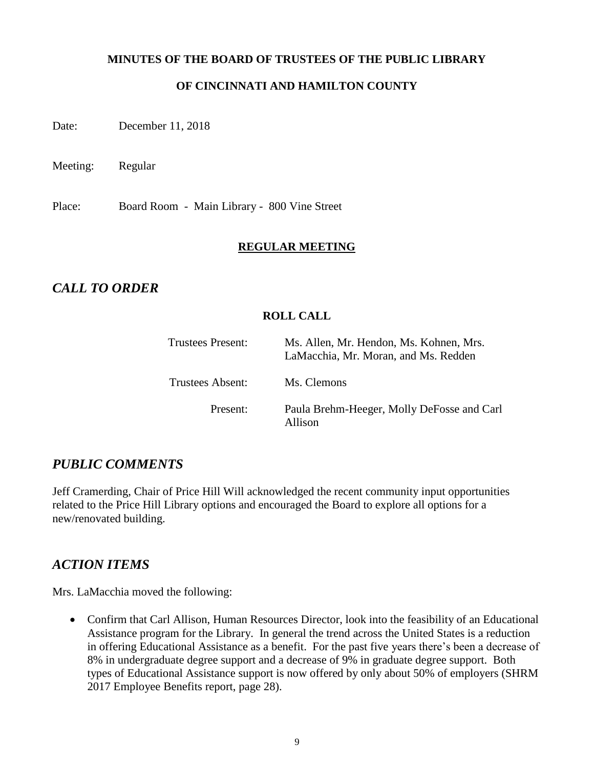### **MINUTES OF THE BOARD OF TRUSTEES OF THE PUBLIC LIBRARY**

## **OF CINCINNATI AND HAMILTON COUNTY**

Date: December 11, 2018

Meeting: Regular

Place: Board Room - Main Library - 800 Vine Street

### **REGULAR MEETING**

## *CALL TO ORDER*

## **ROLL CALL**

| Trustees Present:       | Ms. Allen, Mr. Hendon, Ms. Kohnen, Mrs.<br>LaMacchia, Mr. Moran, and Ms. Redden |
|-------------------------|---------------------------------------------------------------------------------|
| <b>Trustees Absent:</b> | Ms. Clemons                                                                     |
| Present:                | Paula Brehm-Heeger, Molly DeFosse and Carl<br>Allison                           |

## *PUBLIC COMMENTS*

Jeff Cramerding, Chair of Price Hill Will acknowledged the recent community input opportunities related to the Price Hill Library options and encouraged the Board to explore all options for a new/renovated building.

## *ACTION ITEMS*

Mrs. LaMacchia moved the following:

 Confirm that Carl Allison, Human Resources Director, look into the feasibility of an Educational Assistance program for the Library. In general the trend across the United States is a reduction in offering Educational Assistance as a benefit. For the past five years there's been a decrease of 8% in undergraduate degree support and a decrease of 9% in graduate degree support. Both types of Educational Assistance support is now offered by only about 50% of employers (SHRM 2017 Employee Benefits report, page 28).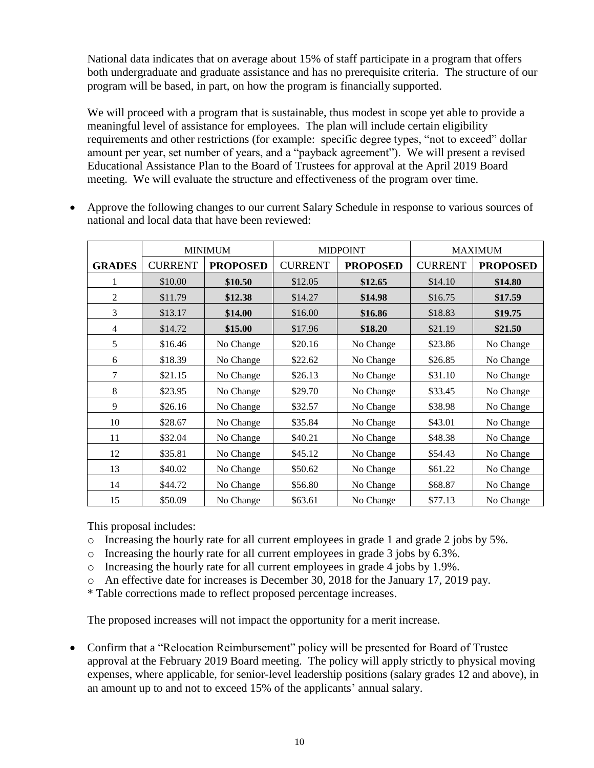National data indicates that on average about 15% of staff participate in a program that offers both undergraduate and graduate assistance and has no prerequisite criteria. The structure of our program will be based, in part, on how the program is financially supported.

We will proceed with a program that is sustainable, thus modest in scope yet able to provide a meaningful level of assistance for employees. The plan will include certain eligibility requirements and other restrictions (for example: specific degree types, "not to exceed" dollar amount per year, set number of years, and a "payback agreement"). We will present a revised Educational Assistance Plan to the Board of Trustees for approval at the April 2019 Board meeting. We will evaluate the structure and effectiveness of the program over time.

|                |                | <b>MINIMUM</b>  |                | <b>MIDPOINT</b> |                | <b>MAXIMUM</b>  |
|----------------|----------------|-----------------|----------------|-----------------|----------------|-----------------|
| <b>GRADES</b>  | <b>CURRENT</b> | <b>PROPOSED</b> | <b>CURRENT</b> | <b>PROPOSED</b> | <b>CURRENT</b> | <b>PROPOSED</b> |
| 1              | \$10.00        | \$10.50         | \$12.05        | \$12.65         | \$14.10        | \$14.80         |
| $\overline{2}$ | \$11.79        | \$12.38         | \$14.27        | \$14.98         | \$16.75        | \$17.59         |
| 3              | \$13.17        | \$14.00         | \$16.00        | \$16.86         | \$18.83        | \$19.75         |
| $\overline{4}$ | \$14.72        | \$15.00         | \$17.96        | \$18.20         | \$21.19        | \$21.50         |
| 5              | \$16.46        | No Change       | \$20.16        | No Change       | \$23.86        | No Change       |
| 6              | \$18.39        | No Change       | \$22.62        | No Change       | \$26.85        | No Change       |
| $\tau$         | \$21.15        | No Change       | \$26.13        | No Change       | \$31.10        | No Change       |
| 8              | \$23.95        | No Change       | \$29.70        | No Change       | \$33.45        | No Change       |
| 9              | \$26.16        | No Change       | \$32.57        | No Change       | \$38.98        | No Change       |
| 10             | \$28.67        | No Change       | \$35.84        | No Change       | \$43.01        | No Change       |
| 11             | \$32.04        | No Change       | \$40.21        | No Change       | \$48.38        | No Change       |
| 12             | \$35.81        | No Change       | \$45.12        | No Change       | \$54.43        | No Change       |
| 13             | \$40.02        | No Change       | \$50.62        | No Change       | \$61.22        | No Change       |
| 14             | \$44.72        | No Change       | \$56.80        | No Change       | \$68.87        | No Change       |
| 15             | \$50.09        | No Change       | \$63.61        | No Change       | \$77.13        | No Change       |

 Approve the following changes to our current Salary Schedule in response to various sources of national and local data that have been reviewed:

This proposal includes:

- o Increasing the hourly rate for all current employees in grade 1 and grade 2 jobs by 5%.
- $\circ$  Increasing the hourly rate for all current employees in grade 3 jobs by 6.3%.
- $\circ$  Increasing the hourly rate for all current employees in grade 4 jobs by 1.9%.
- o An effective date for increases is December 30, 2018 for the January 17, 2019 pay.
- \* Table corrections made to reflect proposed percentage increases.

The proposed increases will not impact the opportunity for a merit increase.

 Confirm that a "Relocation Reimbursement" policy will be presented for Board of Trustee approval at the February 2019 Board meeting. The policy will apply strictly to physical moving expenses, where applicable, for senior-level leadership positions (salary grades 12 and above), in an amount up to and not to exceed 15% of the applicants' annual salary.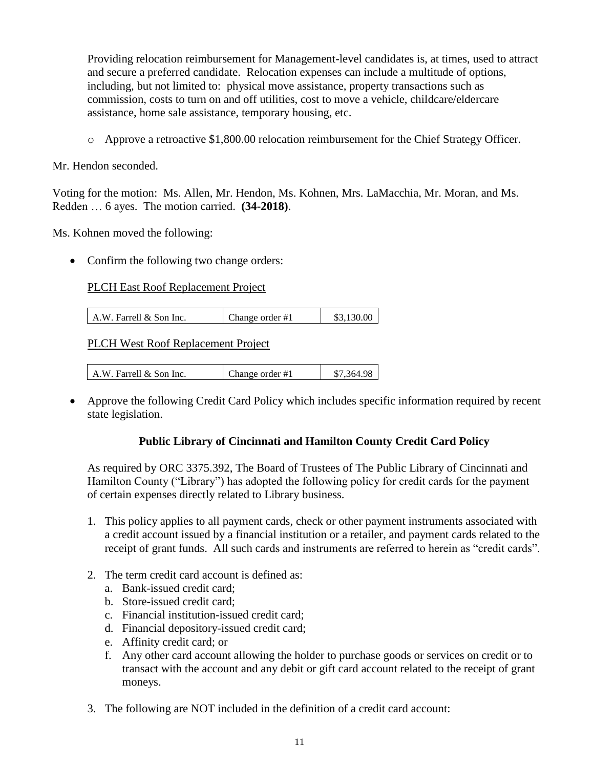Providing relocation reimbursement for Management-level candidates is, at times, used to attract and secure a preferred candidate. Relocation expenses can include a multitude of options, including, but not limited to: physical move assistance, property transactions such as commission, costs to turn on and off utilities, cost to move a vehicle, childcare/eldercare assistance, home sale assistance, temporary housing, etc.

o Approve a retroactive \$1,800.00 relocation reimbursement for the Chief Strategy Officer.

Mr. Hendon seconded.

Voting for the motion: Ms. Allen, Mr. Hendon, Ms. Kohnen, Mrs. LaMacchia, Mr. Moran, and Ms. Redden … 6 ayes. The motion carried. **(34-2018)**.

Ms. Kohnen moved the following:

• Confirm the following two change orders:

#### PLCH East Roof Replacement Project

A.W. Farrell & Son Inc. Change order  $\#1$  \$3,130.00

PLCH West Roof Replacement Project

| A.W. Farrell & Son Inc. | Change order #1 | \$7,364.98 |
|-------------------------|-----------------|------------|
|-------------------------|-----------------|------------|

 Approve the following Credit Card Policy which includes specific information required by recent state legislation.

#### **Public Library of Cincinnati and Hamilton County Credit Card Policy**

As required by ORC 3375.392, The Board of Trustees of The Public Library of Cincinnati and Hamilton County ("Library") has adopted the following policy for credit cards for the payment of certain expenses directly related to Library business.

- 1. This policy applies to all payment cards, check or other payment instruments associated with a credit account issued by a financial institution or a retailer, and payment cards related to the receipt of grant funds. All such cards and instruments are referred to herein as "credit cards".
- 2. The term credit card account is defined as:
	- a. Bank-issued credit card;
	- b. Store-issued credit card;
	- c. Financial institution-issued credit card;
	- d. Financial depository-issued credit card;
	- e. Affinity credit card; or
	- f. Any other card account allowing the holder to purchase goods or services on credit or to transact with the account and any debit or gift card account related to the receipt of grant moneys.
- 3. The following are NOT included in the definition of a credit card account: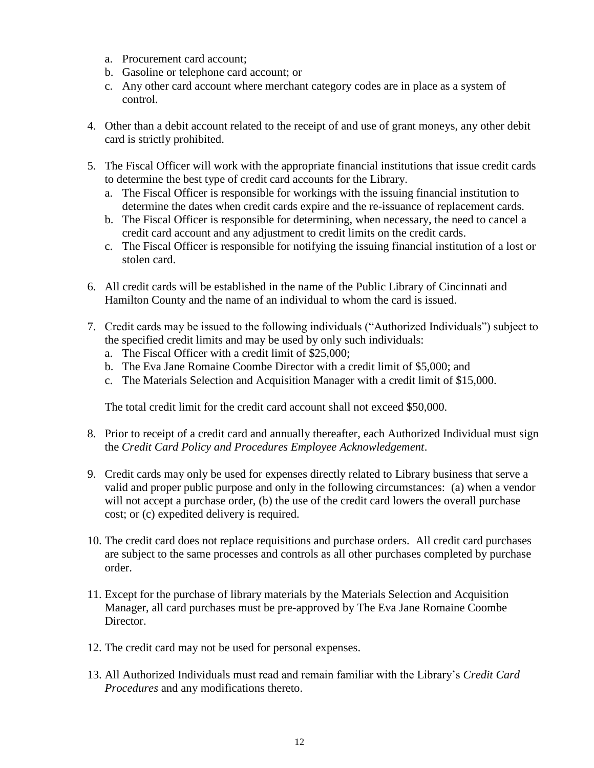- a. Procurement card account;
- b. Gasoline or telephone card account; or
- c. Any other card account where merchant category codes are in place as a system of control.
- 4. Other than a debit account related to the receipt of and use of grant moneys, any other debit card is strictly prohibited.
- 5. The Fiscal Officer will work with the appropriate financial institutions that issue credit cards to determine the best type of credit card accounts for the Library.
	- a. The Fiscal Officer is responsible for workings with the issuing financial institution to determine the dates when credit cards expire and the re-issuance of replacement cards.
	- b. The Fiscal Officer is responsible for determining, when necessary, the need to cancel a credit card account and any adjustment to credit limits on the credit cards.
	- c. The Fiscal Officer is responsible for notifying the issuing financial institution of a lost or stolen card.
- 6. All credit cards will be established in the name of the Public Library of Cincinnati and Hamilton County and the name of an individual to whom the card is issued.
- 7. Credit cards may be issued to the following individuals ("Authorized Individuals") subject to the specified credit limits and may be used by only such individuals:
	- a. The Fiscal Officer with a credit limit of \$25,000;
	- b. The Eva Jane Romaine Coombe Director with a credit limit of \$5,000; and
	- c. The Materials Selection and Acquisition Manager with a credit limit of \$15,000.

The total credit limit for the credit card account shall not exceed \$50,000.

- 8. Prior to receipt of a credit card and annually thereafter, each Authorized Individual must sign the *Credit Card Policy and Procedures Employee Acknowledgement*.
- 9. Credit cards may only be used for expenses directly related to Library business that serve a valid and proper public purpose and only in the following circumstances: (a) when a vendor will not accept a purchase order, (b) the use of the credit card lowers the overall purchase cost; or (c) expedited delivery is required.
- 10. The credit card does not replace requisitions and purchase orders. All credit card purchases are subject to the same processes and controls as all other purchases completed by purchase order.
- 11. Except for the purchase of library materials by the Materials Selection and Acquisition Manager, all card purchases must be pre-approved by The Eva Jane Romaine Coombe Director.
- 12. The credit card may not be used for personal expenses.
- 13. All Authorized Individuals must read and remain familiar with the Library's *Credit Card Procedures* and any modifications thereto.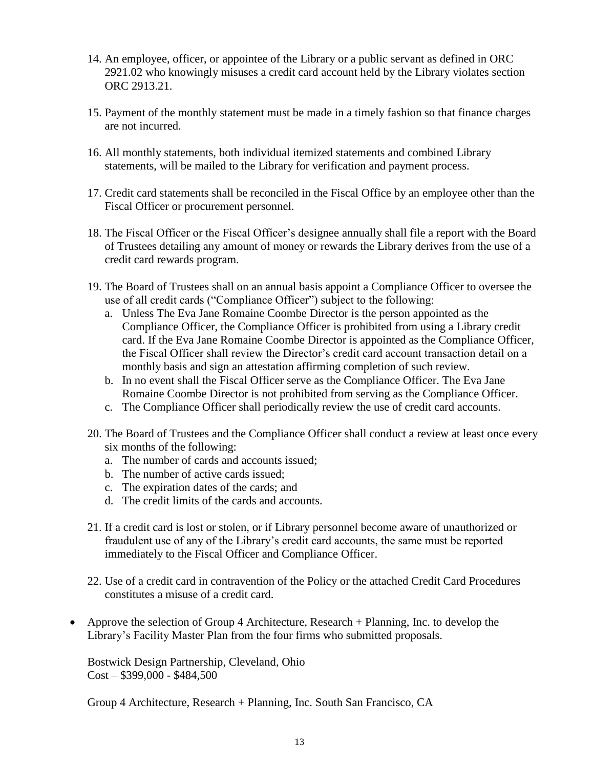- 14. An employee, officer, or appointee of the Library or a public servant as defined in ORC 2921.02 who knowingly misuses a credit card account held by the Library violates section ORC 2913.21.
- 15. Payment of the monthly statement must be made in a timely fashion so that finance charges are not incurred.
- 16. All monthly statements, both individual itemized statements and combined Library statements, will be mailed to the Library for verification and payment process.
- 17. Credit card statements shall be reconciled in the Fiscal Office by an employee other than the Fiscal Officer or procurement personnel.
- 18. The Fiscal Officer or the Fiscal Officer's designee annually shall file a report with the Board of Trustees detailing any amount of money or rewards the Library derives from the use of a credit card rewards program.
- 19. The Board of Trustees shall on an annual basis appoint a Compliance Officer to oversee the use of all credit cards ("Compliance Officer") subject to the following:
	- a. Unless The Eva Jane Romaine Coombe Director is the person appointed as the Compliance Officer, the Compliance Officer is prohibited from using a Library credit card. If the Eva Jane Romaine Coombe Director is appointed as the Compliance Officer, the Fiscal Officer shall review the Director's credit card account transaction detail on a monthly basis and sign an attestation affirming completion of such review.
	- b. In no event shall the Fiscal Officer serve as the Compliance Officer. The Eva Jane Romaine Coombe Director is not prohibited from serving as the Compliance Officer.
	- c. The Compliance Officer shall periodically review the use of credit card accounts.
- 20. The Board of Trustees and the Compliance Officer shall conduct a review at least once every six months of the following:
	- a. The number of cards and accounts issued;
	- b. The number of active cards issued;
	- c. The expiration dates of the cards; and
	- d. The credit limits of the cards and accounts.
- 21. If a credit card is lost or stolen, or if Library personnel become aware of unauthorized or fraudulent use of any of the Library's credit card accounts, the same must be reported immediately to the Fiscal Officer and Compliance Officer.
- 22. Use of a credit card in contravention of the Policy or the attached Credit Card Procedures constitutes a misuse of a credit card.
- Approve the selection of Group 4 Architecture, Research + Planning, Inc. to develop the Library's Facility Master Plan from the four firms who submitted proposals.

Bostwick Design Partnership, Cleveland, Ohio  $Cost - $399,000 - $484,500$ 

Group 4 Architecture, Research + Planning, Inc. South San Francisco, CA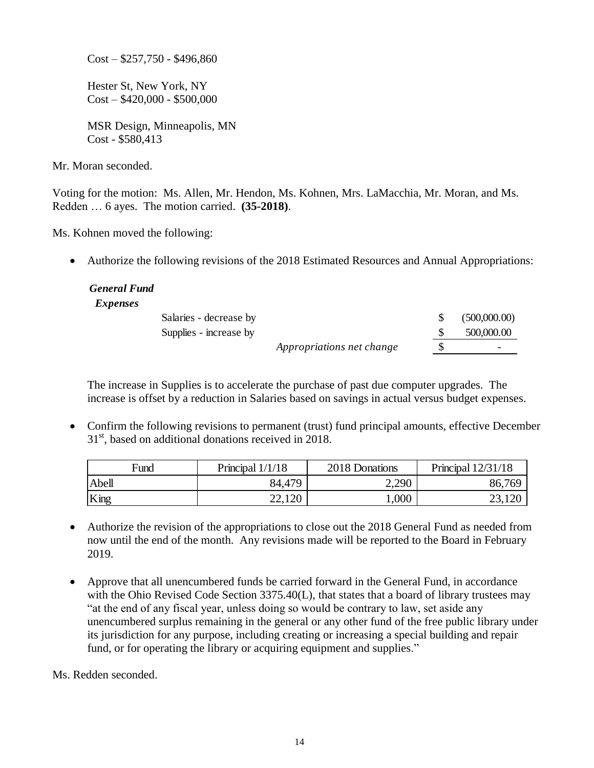$Cost - $257,750 - $496,860$ 

Hester St, New York, NY  $Cost - $420,000 - $500,000$ 

MSR Design, Minneapolis, MN Cost - \$580,413

Mr. Moran seconded.

Voting for the motion: Ms. Allen, Mr. Hendon, Ms. Kohnen, Mrs. LaMacchia, Mr. Moran, and Ms. Redden … 6 ayes. The motion carried. **(35-2018)**.

Ms. Kohnen moved the following:

Authorize the following revisions of the 2018 Estimated Resources and Annual Appropriations:

| <b>General Fund</b> |                        |                           |              |
|---------------------|------------------------|---------------------------|--------------|
| <i>Expenses</i>     |                        |                           |              |
|                     | Salaries - decrease by |                           | (500,000.00) |
|                     | Supplies - increase by |                           | 500,000.00   |
|                     |                        | Appropriations net change |              |

The increase in Supplies is to accelerate the purchase of past due computer upgrades. The increase is offset by a reduction in Salaries based on savings in actual versus budget expenses.

• Confirm the following revisions to permanent (trust) fund principal amounts, effective December  $31<sup>st</sup>$ , based on additional donations received in 2018.

| Fund  | Principal $1/1/18$ | 2018 Donations | Principal $12/31/18$ |
|-------|--------------------|----------------|----------------------|
| Abell | 84,479             | 2,290          | 86,769               |
| King  | 22,120             | 000.1          | າາ 1າ∩<br>2J,120     |

- Authorize the revision of the appropriations to close out the 2018 General Fund as needed from now until the end of the month. Any revisions made will be reported to the Board in February 2019.
- Approve that all unencumbered funds be carried forward in the General Fund, in accordance with the Ohio Revised Code Section 3375.40(L), that states that a board of library trustees may "at the end of any fiscal year, unless doing so would be contrary to law, set aside any unencumbered surplus remaining in the general or any other fund of the free public library under its jurisdiction for any purpose, including creating or increasing a special building and repair fund, or for operating the library or acquiring equipment and supplies."

Ms. Redden seconded.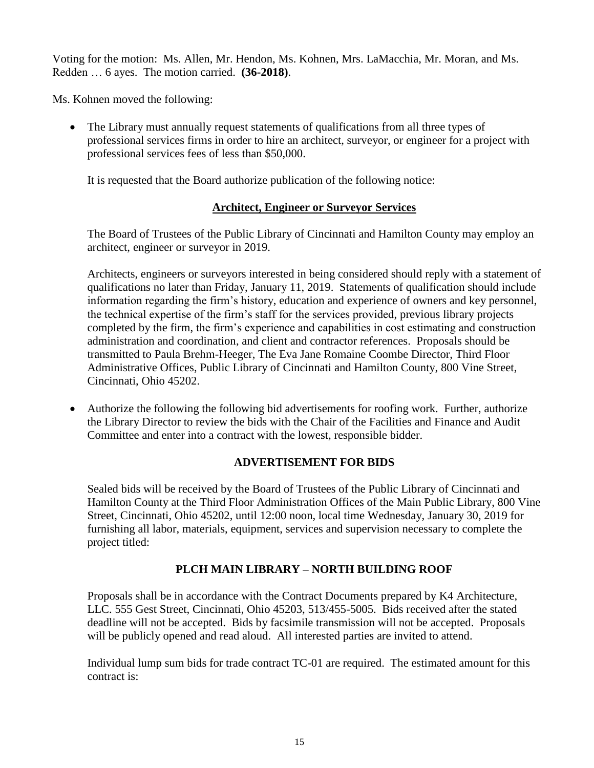Voting for the motion: Ms. Allen, Mr. Hendon, Ms. Kohnen, Mrs. LaMacchia, Mr. Moran, and Ms. Redden … 6 ayes. The motion carried. **(36-2018)**.

Ms. Kohnen moved the following:

• The Library must annually request statements of qualifications from all three types of professional services firms in order to hire an architect, surveyor, or engineer for a project with professional services fees of less than \$50,000.

It is requested that the Board authorize publication of the following notice:

## **Architect, Engineer or Surveyor Services**

The Board of Trustees of the Public Library of Cincinnati and Hamilton County may employ an architect, engineer or surveyor in 2019.

Architects, engineers or surveyors interested in being considered should reply with a statement of qualifications no later than Friday, January 11, 2019. Statements of qualification should include information regarding the firm's history, education and experience of owners and key personnel, the technical expertise of the firm's staff for the services provided, previous library projects completed by the firm, the firm's experience and capabilities in cost estimating and construction administration and coordination, and client and contractor references. Proposals should be transmitted to Paula Brehm-Heeger, The Eva Jane Romaine Coombe Director, Third Floor Administrative Offices, Public Library of Cincinnati and Hamilton County, 800 Vine Street, Cincinnati, Ohio 45202.

• Authorize the following the following bid advertisements for roofing work. Further, authorize the Library Director to review the bids with the Chair of the Facilities and Finance and Audit Committee and enter into a contract with the lowest, responsible bidder.

## **ADVERTISEMENT FOR BIDS**

Sealed bids will be received by the Board of Trustees of the Public Library of Cincinnati and Hamilton County at the Third Floor Administration Offices of the Main Public Library, 800 Vine Street, Cincinnati, Ohio 45202, until 12:00 noon, local time Wednesday, January 30, 2019 for furnishing all labor, materials, equipment, services and supervision necessary to complete the project titled:

## **PLCH MAIN LIBRARY – NORTH BUILDING ROOF**

Proposals shall be in accordance with the Contract Documents prepared by K4 Architecture, LLC. 555 Gest Street, Cincinnati, Ohio 45203, 513/455-5005. Bids received after the stated deadline will not be accepted. Bids by facsimile transmission will not be accepted. Proposals will be publicly opened and read aloud. All interested parties are invited to attend.

Individual lump sum bids for trade contract TC-01 are required. The estimated amount for this contract is: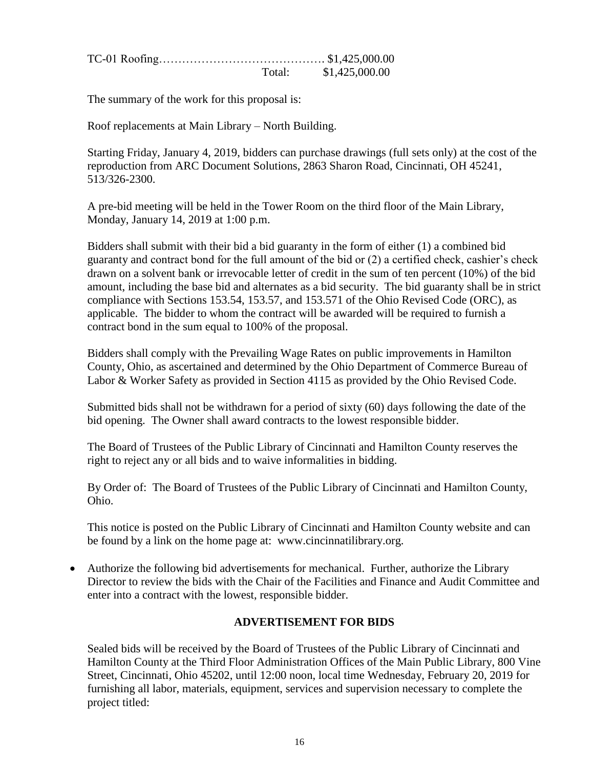|  | Total: \$1,425,000.00 |  |
|--|-----------------------|--|

The summary of the work for this proposal is:

Roof replacements at Main Library – North Building.

Starting Friday, January 4, 2019, bidders can purchase drawings (full sets only) at the cost of the reproduction from ARC Document Solutions, 2863 Sharon Road, Cincinnati, OH 45241, 513/326-2300.

A pre-bid meeting will be held in the Tower Room on the third floor of the Main Library, Monday, January 14, 2019 at 1:00 p.m.

Bidders shall submit with their bid a bid guaranty in the form of either (1) a combined bid guaranty and contract bond for the full amount of the bid or (2) a certified check, cashier's check drawn on a solvent bank or irrevocable letter of credit in the sum of ten percent (10%) of the bid amount, including the base bid and alternates as a bid security. The bid guaranty shall be in strict compliance with Sections 153.54, 153.57, and 153.571 of the Ohio Revised Code (ORC), as applicable. The bidder to whom the contract will be awarded will be required to furnish a contract bond in the sum equal to 100% of the proposal.

Bidders shall comply with the Prevailing Wage Rates on public improvements in Hamilton County, Ohio, as ascertained and determined by the Ohio Department of Commerce Bureau of Labor & Worker Safety as provided in Section 4115 as provided by the Ohio Revised Code.

Submitted bids shall not be withdrawn for a period of sixty (60) days following the date of the bid opening. The Owner shall award contracts to the lowest responsible bidder.

The Board of Trustees of the Public Library of Cincinnati and Hamilton County reserves the right to reject any or all bids and to waive informalities in bidding.

By Order of: The Board of Trustees of the Public Library of Cincinnati and Hamilton County, Ohio.

This notice is posted on the Public Library of Cincinnati and Hamilton County website and can be found by a link on the home page at: www.cincinnatilibrary.org.

 Authorize the following bid advertisements for mechanical. Further, authorize the Library Director to review the bids with the Chair of the Facilities and Finance and Audit Committee and enter into a contract with the lowest, responsible bidder.

## **ADVERTISEMENT FOR BIDS**

Sealed bids will be received by the Board of Trustees of the Public Library of Cincinnati and Hamilton County at the Third Floor Administration Offices of the Main Public Library, 800 Vine Street, Cincinnati, Ohio 45202, until 12:00 noon, local time Wednesday, February 20, 2019 for furnishing all labor, materials, equipment, services and supervision necessary to complete the project titled: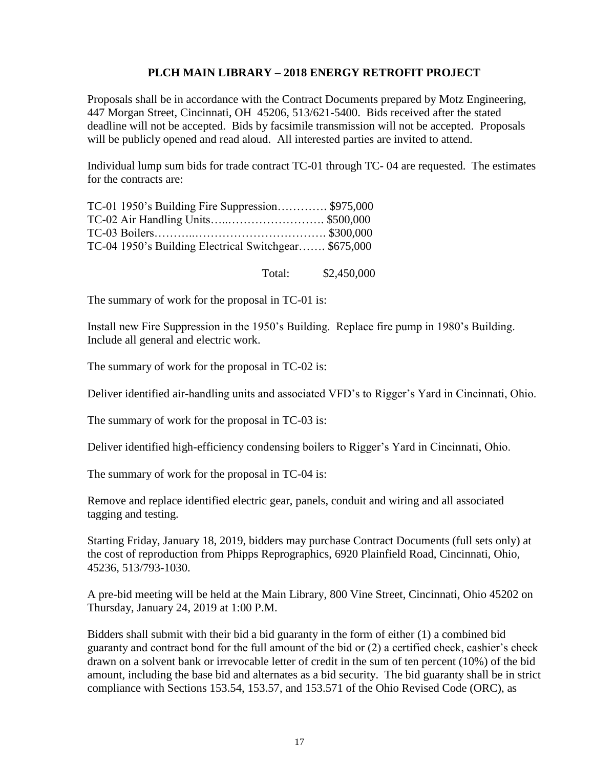### **PLCH MAIN LIBRARY – 2018 ENERGY RETROFIT PROJECT**

Proposals shall be in accordance with the Contract Documents prepared by Motz Engineering, 447 Morgan Street, Cincinnati, OH 45206, 513/621-5400. Bids received after the stated deadline will not be accepted. Bids by facsimile transmission will not be accepted. Proposals will be publicly opened and read aloud. All interested parties are invited to attend.

Individual lump sum bids for trade contract TC-01 through TC- 04 are requested. The estimates for the contracts are:

| TC-01 1950's Building Fire Suppression \$975,000      |  |
|-------------------------------------------------------|--|
| TC-02 Air Handling Units\$500,000                     |  |
|                                                       |  |
| TC-04 1950's Building Electrical Switchgear \$675,000 |  |

Total: \$2,450,000

The summary of work for the proposal in TC-01 is:

Install new Fire Suppression in the 1950's Building. Replace fire pump in 1980's Building. Include all general and electric work.

The summary of work for the proposal in TC-02 is:

Deliver identified air-handling units and associated VFD's to Rigger's Yard in Cincinnati, Ohio.

The summary of work for the proposal in TC-03 is:

Deliver identified high-efficiency condensing boilers to Rigger's Yard in Cincinnati, Ohio.

The summary of work for the proposal in TC-04 is:

Remove and replace identified electric gear, panels, conduit and wiring and all associated tagging and testing.

Starting Friday, January 18, 2019, bidders may purchase Contract Documents (full sets only) at the cost of reproduction from Phipps Reprographics, 6920 Plainfield Road, Cincinnati, Ohio, 45236, 513/793-1030.

A pre-bid meeting will be held at the Main Library, 800 Vine Street, Cincinnati, Ohio 45202 on Thursday, January 24, 2019 at 1:00 P.M.

Bidders shall submit with their bid a bid guaranty in the form of either (1) a combined bid guaranty and contract bond for the full amount of the bid or (2) a certified check, cashier's check drawn on a solvent bank or irrevocable letter of credit in the sum of ten percent (10%) of the bid amount, including the base bid and alternates as a bid security. The bid guaranty shall be in strict compliance with Sections 153.54, 153.57, and 153.571 of the Ohio Revised Code (ORC), as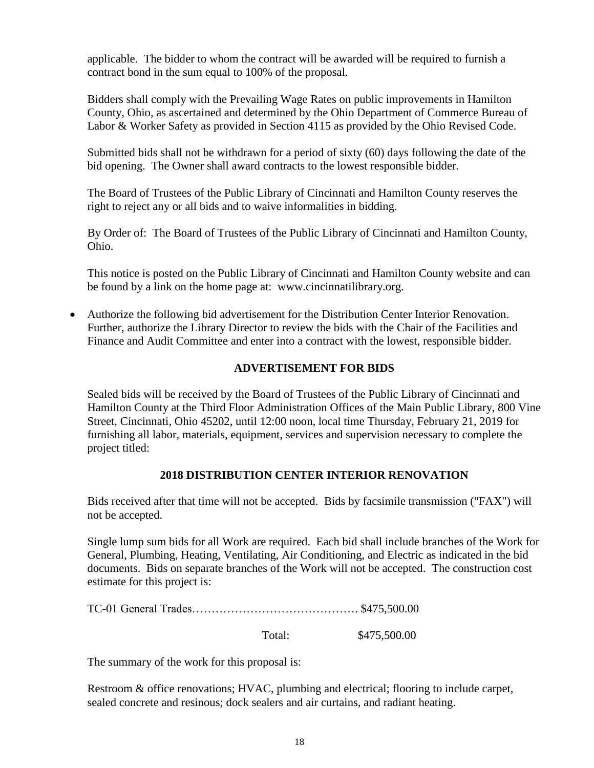applicable. The bidder to whom the contract will be awarded will be required to furnish a contract bond in the sum equal to 100% of the proposal.

Bidders shall comply with the Prevailing Wage Rates on public improvements in Hamilton County, Ohio, as ascertained and determined by the Ohio Department of Commerce Bureau of Labor & Worker Safety as provided in Section 4115 as provided by the Ohio Revised Code.

Submitted bids shall not be withdrawn for a period of sixty (60) days following the date of the bid opening. The Owner shall award contracts to the lowest responsible bidder.

The Board of Trustees of the Public Library of Cincinnati and Hamilton County reserves the right to reject any or all bids and to waive informalities in bidding.

By Order of: The Board of Trustees of the Public Library of Cincinnati and Hamilton County, Ohio.

This notice is posted on the Public Library of Cincinnati and Hamilton County website and can be found by a link on the home page at: www.cincinnatilibrary.org.

 Authorize the following bid advertisement for the Distribution Center Interior Renovation. Further, authorize the Library Director to review the bids with the Chair of the Facilities and Finance and Audit Committee and enter into a contract with the lowest, responsible bidder.

## **ADVERTISEMENT FOR BIDS**

Sealed bids will be received by the Board of Trustees of the Public Library of Cincinnati and Hamilton County at the Third Floor Administration Offices of the Main Public Library, 800 Vine Street, Cincinnati, Ohio 45202, until 12:00 noon, local time Thursday, February 21, 2019 for furnishing all labor, materials, equipment, services and supervision necessary to complete the project titled:

## **2018 DISTRIBUTION CENTER INTERIOR RENOVATION**

Bids received after that time will not be accepted. Bids by facsimile transmission ("FAX") will not be accepted.

Single lump sum bids for all Work are required. Each bid shall include branches of the Work for General, Plumbing, Heating, Ventilating, Air Conditioning, and Electric as indicated in the bid documents. Bids on separate branches of the Work will not be accepted. The construction cost estimate for this project is:

Total: \$475,500.00

The summary of the work for this proposal is:

Restroom & office renovations; HVAC, plumbing and electrical; flooring to include carpet, sealed concrete and resinous; dock sealers and air curtains, and radiant heating.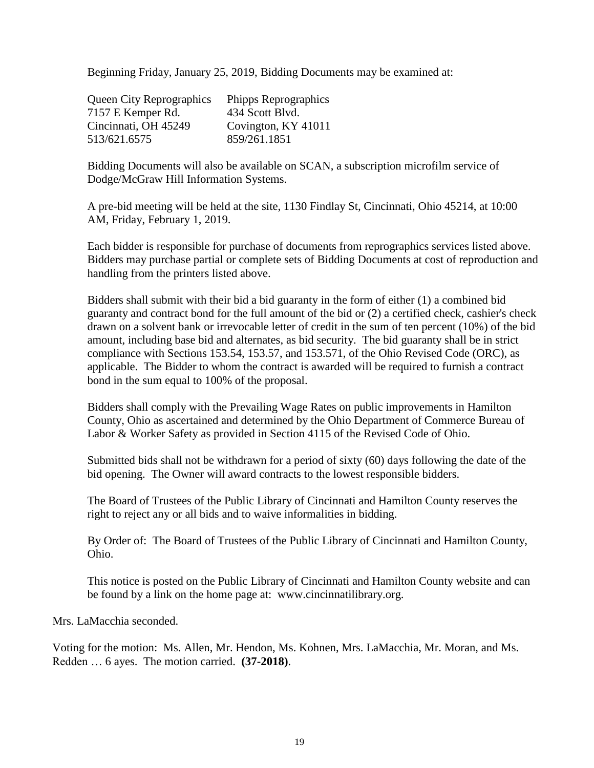Beginning Friday, January 25, 2019, Bidding Documents may be examined at:

| <b>Queen City Reprographics</b> | Phipps Reprographics |
|---------------------------------|----------------------|
| 7157 E Kemper Rd.               | 434 Scott Blvd.      |
| Cincinnati, OH 45249            | Covington, KY 41011  |
| 513/621.6575                    | 859/261.1851         |

Bidding Documents will also be available on SCAN, a subscription microfilm service of Dodge/McGraw Hill Information Systems.

A pre-bid meeting will be held at the site, 1130 Findlay St, Cincinnati, Ohio 45214, at 10:00 AM, Friday, February 1, 2019.

Each bidder is responsible for purchase of documents from reprographics services listed above. Bidders may purchase partial or complete sets of Bidding Documents at cost of reproduction and handling from the printers listed above.

Bidders shall submit with their bid a bid guaranty in the form of either (1) a combined bid guaranty and contract bond for the full amount of the bid or (2) a certified check, cashier's check drawn on a solvent bank or irrevocable letter of credit in the sum of ten percent (10%) of the bid amount, including base bid and alternates, as bid security. The bid guaranty shall be in strict compliance with Sections 153.54, 153.57, and 153.571, of the Ohio Revised Code (ORC), as applicable. The Bidder to whom the contract is awarded will be required to furnish a contract bond in the sum equal to 100% of the proposal.

Bidders shall comply with the Prevailing Wage Rates on public improvements in Hamilton County, Ohio as ascertained and determined by the Ohio Department of Commerce Bureau of Labor & Worker Safety as provided in Section 4115 of the Revised Code of Ohio.

Submitted bids shall not be withdrawn for a period of sixty (60) days following the date of the bid opening. The Owner will award contracts to the lowest responsible bidders.

The Board of Trustees of the Public Library of Cincinnati and Hamilton County reserves the right to reject any or all bids and to waive informalities in bidding.

By Order of: The Board of Trustees of the Public Library of Cincinnati and Hamilton County, Ohio.

This notice is posted on the Public Library of Cincinnati and Hamilton County website and can be found by a link on the home page at: www.cincinnatilibrary.org.

Mrs. LaMacchia seconded.

Voting for the motion: Ms. Allen, Mr. Hendon, Ms. Kohnen, Mrs. LaMacchia, Mr. Moran, and Ms. Redden … 6 ayes. The motion carried. **(37-2018)**.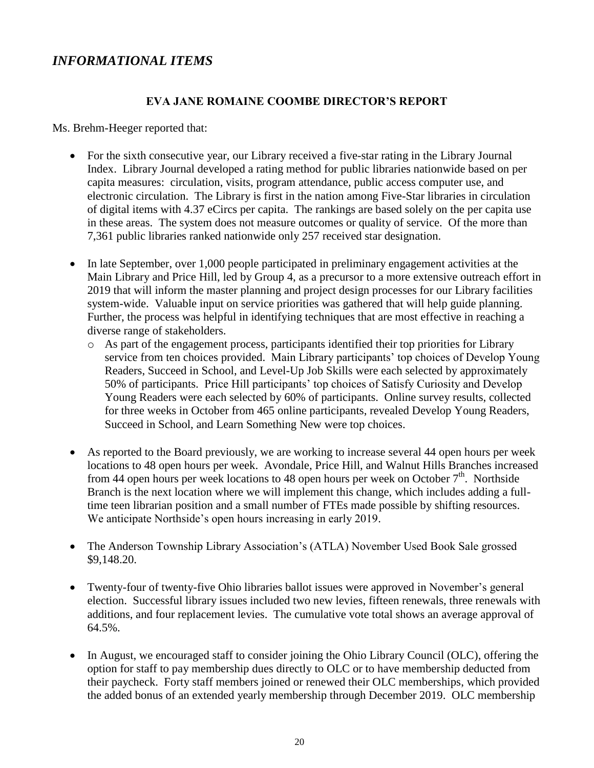# *INFORMATIONAL ITEMS*

### **EVA JANE ROMAINE COOMBE DIRECTOR'S REPORT**

Ms. Brehm-Heeger reported that:

- For the sixth consecutive year, our Library received a five-star rating in the Library Journal Index. Library Journal developed a rating method for public libraries nationwide based on per capita measures: circulation, visits, program attendance, public access computer use, and electronic circulation. The Library is first in the nation among Five-Star libraries in circulation of digital items with 4.37 eCircs per capita. The rankings are based solely on the per capita use in these areas. The system does not measure outcomes or quality of service. Of the more than 7,361 public libraries ranked nationwide only 257 received star designation.
- In late September, over 1,000 people participated in preliminary engagement activities at the Main Library and Price Hill, led by Group 4, as a precursor to a more extensive outreach effort in 2019 that will inform the master planning and project design processes for our Library facilities system-wide. Valuable input on service priorities was gathered that will help guide planning. Further, the process was helpful in identifying techniques that are most effective in reaching a diverse range of stakeholders.
	- o As part of the engagement process, participants identified their top priorities for Library service from ten choices provided. Main Library participants' top choices of Develop Young Readers, Succeed in School, and Level-Up Job Skills were each selected by approximately 50% of participants. Price Hill participants' top choices of Satisfy Curiosity and Develop Young Readers were each selected by 60% of participants. Online survey results, collected for three weeks in October from 465 online participants, revealed Develop Young Readers, Succeed in School, and Learn Something New were top choices.
- As reported to the Board previously, we are working to increase several 44 open hours per week locations to 48 open hours per week. Avondale, Price Hill, and Walnut Hills Branches increased from 44 open hours per week locations to 48 open hours per week on October  $7<sup>th</sup>$ . Northside Branch is the next location where we will implement this change, which includes adding a fulltime teen librarian position and a small number of FTEs made possible by shifting resources. We anticipate Northside's open hours increasing in early 2019.
- The Anderson Township Library Association's (ATLA) November Used Book Sale grossed \$9,148.20.
- Twenty-four of twenty-five Ohio libraries ballot issues were approved in November's general election. Successful library issues included two new levies, fifteen renewals, three renewals with additions, and four replacement levies. The cumulative vote total shows an average approval of 64.5%.
- In August, we encouraged staff to consider joining the Ohio Library Council (OLC), offering the option for staff to pay membership dues directly to OLC or to have membership deducted from their paycheck. Forty staff members joined or renewed their OLC memberships, which provided the added bonus of an extended yearly membership through December 2019. OLC membership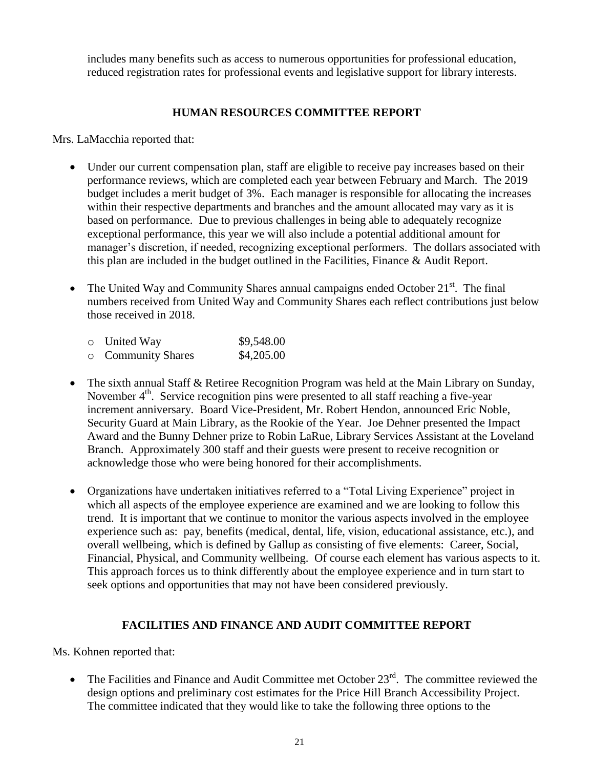includes many benefits such as access to numerous opportunities for professional education, reduced registration rates for professional events and legislative support for library interests.

## **HUMAN RESOURCES COMMITTEE REPORT**

Mrs. LaMacchia reported that:

- Under our current compensation plan, staff are eligible to receive pay increases based on their performance reviews, which are completed each year between February and March. The 2019 budget includes a merit budget of 3%. Each manager is responsible for allocating the increases within their respective departments and branches and the amount allocated may vary as it is based on performance. Due to previous challenges in being able to adequately recognize exceptional performance, this year we will also include a potential additional amount for manager's discretion, if needed, recognizing exceptional performers. The dollars associated with this plan are included in the budget outlined in the Facilities, Finance & Audit Report.
- The United Way and Community Shares annual campaigns ended October  $21<sup>st</sup>$ . The final numbers received from United Way and Community Shares each reflect contributions just below those received in 2018.

| $\circ$ United Way      | \$9,548.00 |
|-------------------------|------------|
| <b>Community Shares</b> | \$4,205.00 |

- The sixth annual Staff & Retiree Recognition Program was held at the Main Library on Sunday, November  $4<sup>th</sup>$ . Service recognition pins were presented to all staff reaching a five-year increment anniversary. Board Vice-President, Mr. Robert Hendon, announced Eric Noble, Security Guard at Main Library, as the Rookie of the Year. Joe Dehner presented the Impact Award and the Bunny Dehner prize to Robin LaRue, Library Services Assistant at the Loveland Branch. Approximately 300 staff and their guests were present to receive recognition or acknowledge those who were being honored for their accomplishments.
- Organizations have undertaken initiatives referred to a "Total Living Experience" project in which all aspects of the employee experience are examined and we are looking to follow this trend. It is important that we continue to monitor the various aspects involved in the employee experience such as: pay, benefits (medical, dental, life, vision, educational assistance, etc.), and overall wellbeing, which is defined by Gallup as consisting of five elements: Career, Social, Financial, Physical, and Community wellbeing. Of course each element has various aspects to it. This approach forces us to think differently about the employee experience and in turn start to seek options and opportunities that may not have been considered previously.

## **FACILITIES AND FINANCE AND AUDIT COMMITTEE REPORT**

Ms. Kohnen reported that:

• The Facilities and Finance and Audit Committee met October  $23<sup>rd</sup>$ . The committee reviewed the design options and preliminary cost estimates for the Price Hill Branch Accessibility Project. The committee indicated that they would like to take the following three options to the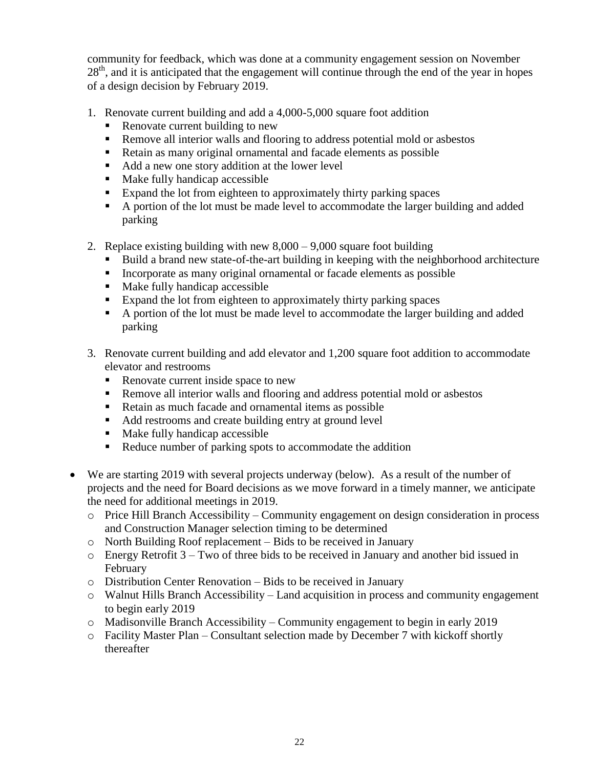community for feedback, which was done at a community engagement session on November  $28<sup>th</sup>$ , and it is anticipated that the engagement will continue through the end of the year in hopes of a design decision by February 2019.

- 1. Renovate current building and add a 4,000-5,000 square foot addition
	- Renovate current building to new
	- Remove all interior walls and flooring to address potential mold or asbestos
	- Retain as many original ornamental and facade elements as possible
	- Add a new one story addition at the lower level
	- $\nightharpoonup$  Make fully handicap accessible
	- Expand the lot from eighteen to approximately thirty parking spaces
	- A portion of the lot must be made level to accommodate the larger building and added parking
- 2. Replace existing building with new  $8,000 9,000$  square foot building
	- Build a brand new state-of-the-art building in keeping with the neighborhood architecture
	- Incorporate as many original ornamental or facade elements as possible
	- Make fully handicap accessible
	- Expand the lot from eighteen to approximately thirty parking spaces
	- A portion of the lot must be made level to accommodate the larger building and added parking
- 3. Renovate current building and add elevator and 1,200 square foot addition to accommodate elevator and restrooms
	- Renovate current inside space to new
	- Remove all interior walls and flooring and address potential mold or asbestos
	- Retain as much facade and ornamental items as possible
	- Add restrooms and create building entry at ground level
	- Make fully handicap accessible
	- Reduce number of parking spots to accommodate the addition
- We are starting 2019 with several projects underway (below). As a result of the number of projects and the need for Board decisions as we move forward in a timely manner, we anticipate the need for additional meetings in 2019.
	- o Price Hill Branch Accessibility Community engagement on design consideration in process and Construction Manager selection timing to be determined
	- o North Building Roof replacement Bids to be received in January
	- o Energy Retrofit 3 Two of three bids to be received in January and another bid issued in February
	- o Distribution Center Renovation Bids to be received in January
	- o Walnut Hills Branch Accessibility Land acquisition in process and community engagement to begin early 2019
	- o Madisonville Branch Accessibility Community engagement to begin in early 2019
	- o Facility Master Plan Consultant selection made by December 7 with kickoff shortly thereafter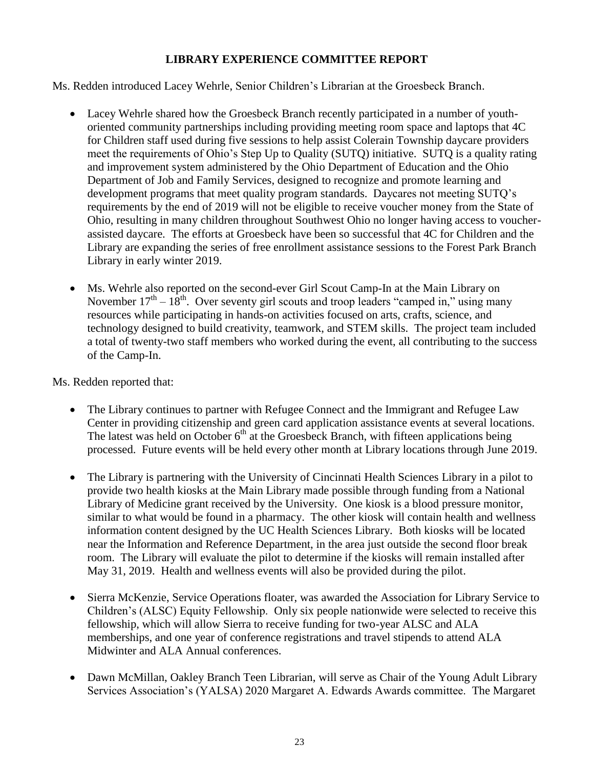## **LIBRARY EXPERIENCE COMMITTEE REPORT**

Ms. Redden introduced Lacey Wehrle, Senior Children's Librarian at the Groesbeck Branch.

- Lacey Wehrle shared how the Groesbeck Branch recently participated in a number of youthoriented community partnerships including providing meeting room space and laptops that 4C for Children staff used during five sessions to help assist Colerain Township daycare providers meet the requirements of Ohio's Step Up to Quality (SUTQ) initiative. SUTQ is a quality rating and improvement system administered by the Ohio Department of Education and the Ohio Department of Job and Family Services, designed to recognize and promote learning and development programs that meet quality program standards. Daycares not meeting SUTQ's requirements by the end of 2019 will not be eligible to receive voucher money from the State of Ohio, resulting in many children throughout Southwest Ohio no longer having access to voucherassisted daycare. The efforts at Groesbeck have been so successful that 4C for Children and the Library are expanding the series of free enrollment assistance sessions to the Forest Park Branch Library in early winter 2019.
- Ms. Wehrle also reported on the second-ever Girl Scout Camp-In at the Main Library on November  $17<sup>th</sup> - 18<sup>th</sup>$ . Over seventy girl scouts and troop leaders "camped in," using many resources while participating in hands-on activities focused on arts, crafts, science, and technology designed to build creativity, teamwork, and STEM skills. The project team included a total of twenty-two staff members who worked during the event, all contributing to the success of the Camp-In.

Ms. Redden reported that:

- The Library continues to partner with Refugee Connect and the Immigrant and Refugee Law Center in providing citizenship and green card application assistance events at several locations. The latest was held on October  $6<sup>th</sup>$  at the Groesbeck Branch, with fifteen applications being processed. Future events will be held every other month at Library locations through June 2019.
- The Library is partnering with the University of Cincinnati Health Sciences Library in a pilot to provide two health kiosks at the Main Library made possible through funding from a National Library of Medicine grant received by the University. One kiosk is a blood pressure monitor, similar to what would be found in a pharmacy. The other kiosk will contain health and wellness information content designed by the UC Health Sciences Library. Both kiosks will be located near the Information and Reference Department, in the area just outside the second floor break room. The Library will evaluate the pilot to determine if the kiosks will remain installed after May 31, 2019. Health and wellness events will also be provided during the pilot.
- Sierra McKenzie, Service Operations floater, was awarded the Association for Library Service to Children's (ALSC) Equity Fellowship. Only six people nationwide were selected to receive this fellowship, which will allow Sierra to receive funding for two-year ALSC and ALA memberships, and one year of conference registrations and travel stipends to attend ALA Midwinter and ALA Annual conferences.
- Dawn McMillan, Oakley Branch Teen Librarian, will serve as Chair of the Young Adult Library Services Association's (YALSA) 2020 Margaret A. Edwards Awards committee. The Margaret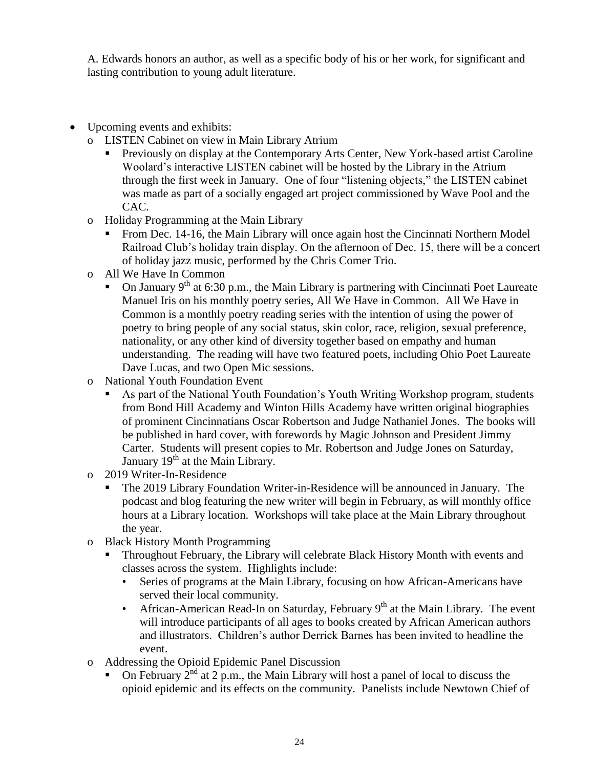A. Edwards honors an author, as well as a specific body of his or her work, for significant and lasting contribution to young adult literature.

- Upcoming events and exhibits:
	- o LISTEN Cabinet on view in Main Library Atrium
		- Previously on display at the Contemporary Arts Center, New York-based artist Caroline Woolard's interactive LISTEN cabinet will be hosted by the Library in the Atrium through the first week in January. One of four "listening objects," the LISTEN cabinet was made as part of a socially engaged art project commissioned by Wave Pool and the CAC.
	- o Holiday Programming at the Main Library
		- From Dec. 14-16, the Main Library will once again host the Cincinnati Northern Model Railroad Club's holiday train display. On the afternoon of Dec. 15, there will be a concert of holiday jazz music, performed by the Chris Comer Trio.
	- o All We Have In Common
		- On January  $9^{th}$  at 6:30 p.m., the Main Library is partnering with Cincinnati Poet Laureate Manuel Iris on his monthly poetry series, All We Have in Common. All We Have in Common is a monthly poetry reading series with the intention of using the power of poetry to bring people of any social status, skin color, race, religion, sexual preference, nationality, or any other kind of diversity together based on empathy and human understanding. The reading will have two featured poets, including Ohio Poet Laureate Dave Lucas, and two Open Mic sessions.
	- o National Youth Foundation Event
		- As part of the National Youth Foundation's Youth Writing Workshop program, students from Bond Hill Academy and Winton Hills Academy have written original biographies of prominent Cincinnatians Oscar Robertson and Judge Nathaniel Jones. The books will be published in hard cover, with forewords by Magic Johnson and President Jimmy Carter. Students will present copies to Mr. Robertson and Judge Jones on Saturday, January 19<sup>th</sup> at the Main Library.
	- o 2019 Writer-In-Residence
		- The 2019 Library Foundation Writer-in-Residence will be announced in January. The podcast and blog featuring the new writer will begin in February, as will monthly office hours at a Library location. Workshops will take place at the Main Library throughout the year.
	- o Black History Month Programming
		- Throughout February, the Library will celebrate Black History Month with events and classes across the system. Highlights include:
			- Series of programs at the Main Library, focusing on how African-Americans have served their local community.
			- African-American Read-In on Saturday, February  $9<sup>th</sup>$  at the Main Library. The event will introduce participants of all ages to books created by African American authors and illustrators. Children's author Derrick Barnes has been invited to headline the event.
	- o Addressing the Opioid Epidemic Panel Discussion
		- On February  $2^{nd}$  at 2 p.m., the Main Library will host a panel of local to discuss the opioid epidemic and its effects on the community. Panelists include Newtown Chief of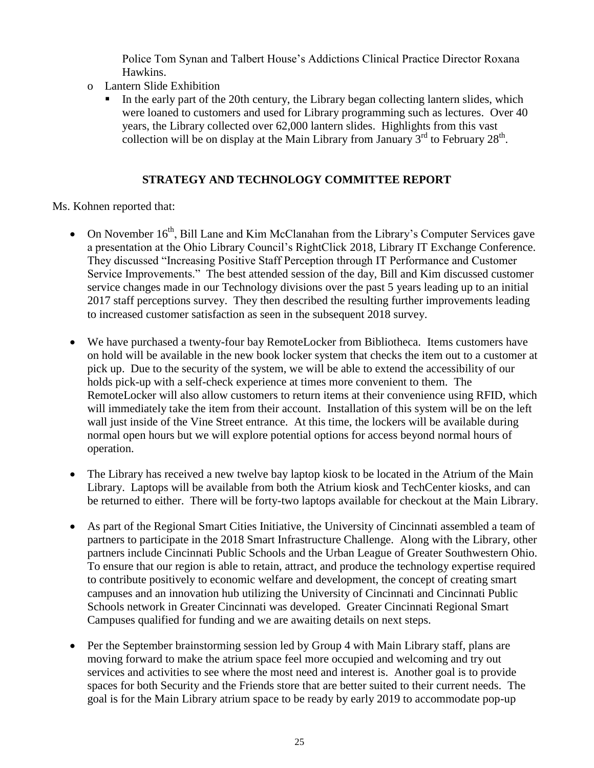Police Tom Synan and Talbert House's Addictions Clinical Practice Director Roxana Hawkins.

- o Lantern Slide Exhibition
	- In the early part of the 20th century, the Library began collecting lantern slides, which were loaned to customers and used for Library programming such as lectures. Over 40 years, the Library collected over 62,000 lantern slides. Highlights from this vast collection will be on display at the Main Library from January  $3^{rd}$  to February  $28^{th}$ .

## **STRATEGY AND TECHNOLOGY COMMITTEE REPORT**

Ms. Kohnen reported that:

- On November 16<sup>th</sup>, Bill Lane and Kim McClanahan from the Library's Computer Services gave a presentation at the Ohio Library Council's RightClick 2018, Library IT Exchange Conference. They discussed "Increasing Positive Staff Perception through IT Performance and Customer Service Improvements." The best attended session of the day, Bill and Kim discussed customer service changes made in our Technology divisions over the past 5 years leading up to an initial 2017 staff perceptions survey. They then described the resulting further improvements leading to increased customer satisfaction as seen in the subsequent 2018 survey.
- We have purchased a twenty-four bay RemoteLocker from Bibliotheca. Items customers have on hold will be available in the new book locker system that checks the item out to a customer at pick up. Due to the security of the system, we will be able to extend the accessibility of our holds pick-up with a self-check experience at times more convenient to them. The RemoteLocker will also allow customers to return items at their convenience using RFID, which will immediately take the item from their account. Installation of this system will be on the left wall just inside of the Vine Street entrance. At this time, the lockers will be available during normal open hours but we will explore potential options for access beyond normal hours of operation.
- The Library has received a new twelve bay laptop kiosk to be located in the Atrium of the Main Library. Laptops will be available from both the Atrium kiosk and TechCenter kiosks, and can be returned to either. There will be forty-two laptops available for checkout at the Main Library.
- As part of the Regional Smart Cities Initiative, the University of Cincinnati assembled a team of partners to participate in the 2018 Smart Infrastructure Challenge. Along with the Library, other partners include Cincinnati Public Schools and the Urban League of Greater Southwestern Ohio. To ensure that our region is able to retain, attract, and produce the technology expertise required to contribute positively to economic welfare and development, the concept of creating smart campuses and an innovation hub utilizing the University of Cincinnati and Cincinnati Public Schools network in Greater Cincinnati was developed. Greater Cincinnati Regional Smart Campuses qualified for funding and we are awaiting details on next steps.
- Per the September brainstorming session led by Group 4 with Main Library staff, plans are moving forward to make the atrium space feel more occupied and welcoming and try out services and activities to see where the most need and interest is. Another goal is to provide spaces for both Security and the Friends store that are better suited to their current needs. The goal is for the Main Library atrium space to be ready by early 2019 to accommodate pop-up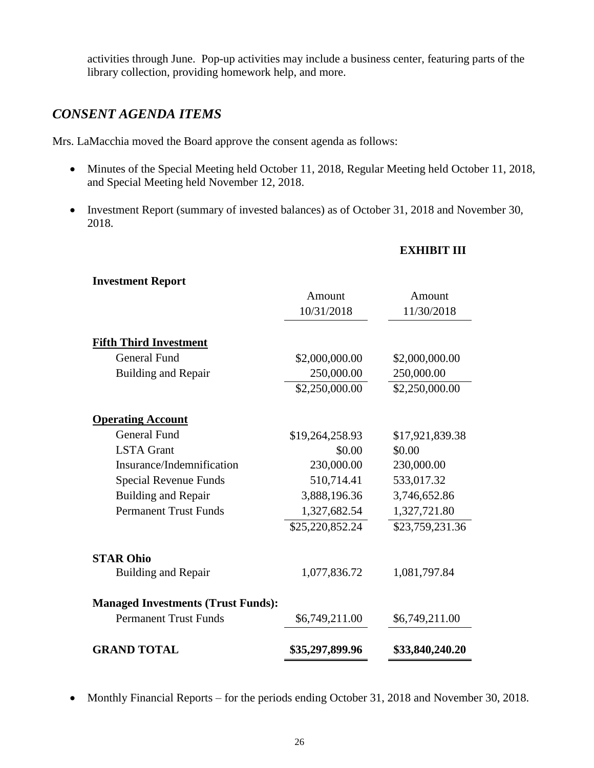activities through June. Pop-up activities may include a business center, featuring parts of the library collection, providing homework help, and more.

# *CONSENT AGENDA ITEMS*

Mrs. LaMacchia moved the Board approve the consent agenda as follows:

- Minutes of the Special Meeting held October 11, 2018, Regular Meeting held October 11, 2018, and Special Meeting held November 12, 2018.
- Investment Report (summary of invested balances) as of October 31, 2018 and November 30, 2018.

### **EXHIBIT III**

| <b>Investment Report</b>                  |                              |                              |
|-------------------------------------------|------------------------------|------------------------------|
|                                           | Amount                       | Amount                       |
|                                           | 10/31/2018                   | 11/30/2018                   |
| <b>Fifth Third Investment</b>             |                              |                              |
| <b>General Fund</b>                       |                              |                              |
| <b>Building and Repair</b>                | \$2,000,000.00<br>250,000.00 | \$2,000,000.00<br>250,000.00 |
|                                           |                              |                              |
|                                           | \$2,250,000.00               | \$2,250,000.00               |
| <b>Operating Account</b>                  |                              |                              |
| <b>General Fund</b>                       | \$19,264,258.93              | \$17,921,839.38              |
| <b>LSTA</b> Grant                         | \$0.00                       | \$0.00                       |
| Insurance/Indemnification                 | 230,000.00                   | 230,000.00                   |
| Special Revenue Funds                     | 510,714.41                   | 533,017.32                   |
| <b>Building and Repair</b>                | 3,888,196.36                 | 3,746,652.86                 |
| <b>Permanent Trust Funds</b>              | 1,327,682.54                 | 1,327,721.80                 |
|                                           | \$25,220,852.24              | \$23,759,231.36              |
| <b>STAR Ohio</b>                          |                              |                              |
| <b>Building and Repair</b>                | 1,077,836.72                 | 1,081,797.84                 |
| <b>Managed Investments (Trust Funds):</b> |                              |                              |
| <b>Permanent Trust Funds</b>              | \$6,749,211.00               | \$6,749,211.00               |
| <b>GRAND TOTAL</b>                        | \$35,297,899.96              | \$33,840,240.20              |

• Monthly Financial Reports – for the periods ending October 31, 2018 and November 30, 2018.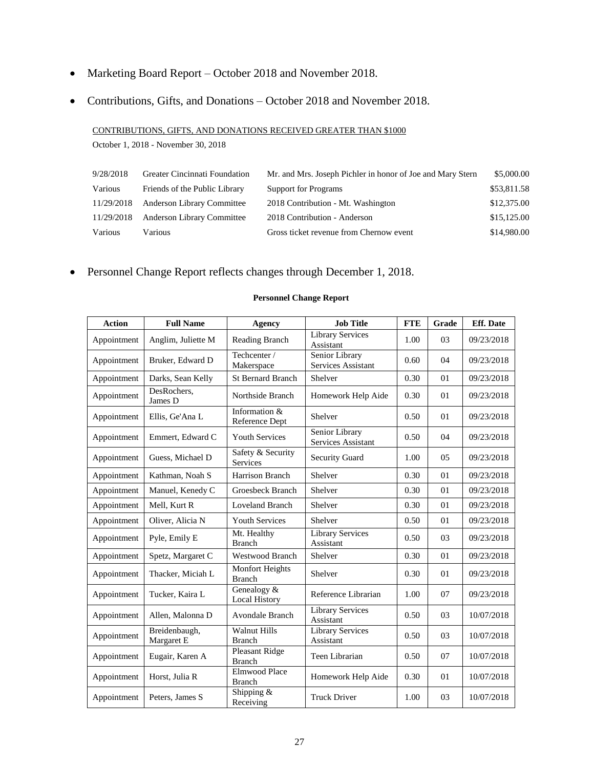- Marketing Board Report October 2018 and November 2018.
- Contributions, Gifts, and Donations October 2018 and November 2018.

CONTRIBUTIONS, GIFTS, AND DONATIONS RECEIVED GREATER THAN \$1000

October 1, 2018 - November 30, 2018

| 9/28/2018  | Greater Cincinnati Foundation     | Mr. and Mrs. Joseph Pichler in honor of Joe and Mary Stern | \$5,000.00  |
|------------|-----------------------------------|------------------------------------------------------------|-------------|
| Various    | Friends of the Public Library     | <b>Support for Programs</b>                                | \$53,811.58 |
| 11/29/2018 | <b>Anderson Library Committee</b> | 2018 Contribution - Mt. Washington                         | \$12,375.00 |
| 11/29/2018 | <b>Anderson Library Committee</b> | 2018 Contribution - Anderson                               | \$15,125.00 |
| Various    | <b>Various</b>                    | Gross ticket revenue from Chernow event                    | \$14,980.00 |

Personnel Change Report reflects changes through December 1, 2018.

| <b>Action</b> | <b>Full Name</b>            | <b>Agency</b>                           | <b>Job Title</b>                     | <b>FTE</b> | Grade          | <b>Eff.</b> Date |
|---------------|-----------------------------|-----------------------------------------|--------------------------------------|------------|----------------|------------------|
| Appointment   | Anglim, Juliette M          | Reading Branch                          | <b>Library Services</b><br>Assistant | 1.00       | 03             | 09/23/2018       |
| Appointment   | Bruker, Edward D            | Techcenter /<br>Makerspace              | Senior Library<br>Services Assistant | 0.60       | 04             | 09/23/2018       |
| Appointment   | Darks, Sean Kelly           | St Bernard Branch                       | Shelver                              | 0.30       | 01             | 09/23/2018       |
| Appointment   | DesRochers,<br>James D      | Northside Branch                        | Homework Help Aide                   | 0.30       | 01             | 09/23/2018       |
| Appointment   | Ellis, Ge'Ana L             | Information &<br>Reference Dept         | Shelver                              | 0.50       | 01             | 09/23/2018       |
| Appointment   | Emmert, Edward C            | <b>Youth Services</b>                   | Senior Library<br>Services Assistant | 0.50       | 04             | 09/23/2018       |
| Appointment   | Guess, Michael D            | Safety & Security<br>Services           | <b>Security Guard</b>                | 1.00       | 05             | 09/23/2018       |
| Appointment   | Kathman, Noah S             | Harrison Branch                         | Shelver                              | 0.30       | 01             | 09/23/2018       |
| Appointment   | Manuel, Kenedy C            | Groesbeck Branch                        | Shelver                              | 0.30       | 01             | 09/23/2018       |
| Appointment   | Mell, Kurt R                | Loveland Branch                         | Shelver                              | 0.30       | 01             | 09/23/2018       |
| Appointment   | Oliver, Alicia N            | <b>Youth Services</b>                   | Shelver                              | 0.50       | 01             | 09/23/2018       |
| Appointment   | Pyle, Emily E               | Mt. Healthy<br><b>Branch</b>            | <b>Library Services</b><br>Assistant | 0.50       | 0 <sub>3</sub> | 09/23/2018       |
| Appointment   | Spetz, Margaret C           | <b>Westwood Branch</b>                  | Shelver                              | 0.30       | 01             | 09/23/2018       |
| Appointment   | Thacker, Miciah L           | <b>Monfort Heights</b><br><b>Branch</b> | Shelver                              | 0.30       | 01             | 09/23/2018       |
| Appointment   | Tucker, Kaira L             | Genealogy &<br><b>Local History</b>     | Reference Librarian                  | 1.00       | 07             | 09/23/2018       |
| Appointment   | Allen, Malonna D            | <b>Avondale Branch</b>                  | <b>Library Services</b><br>Assistant | 0.50       | 03             | 10/07/2018       |
| Appointment   | Breidenbaugh,<br>Margaret E | <b>Walnut Hills</b><br><b>Branch</b>    | <b>Library Services</b><br>Assistant | 0.50       | 03             | 10/07/2018       |
| Appointment   | Eugair, Karen A             | Pleasant Ridge<br><b>Branch</b>         | Teen Librarian                       | 0.50       | 07             | 10/07/2018       |
| Appointment   | Horst, Julia R              | <b>Elmwood Place</b><br><b>Branch</b>   | Homework Help Aide                   | 0.30       | 01             | 10/07/2018       |
| Appointment   | Peters, James S             | Shipping &<br>Receiving                 | <b>Truck Driver</b>                  | 1.00       | 03             | 10/07/2018       |

#### **Personnel Change Report**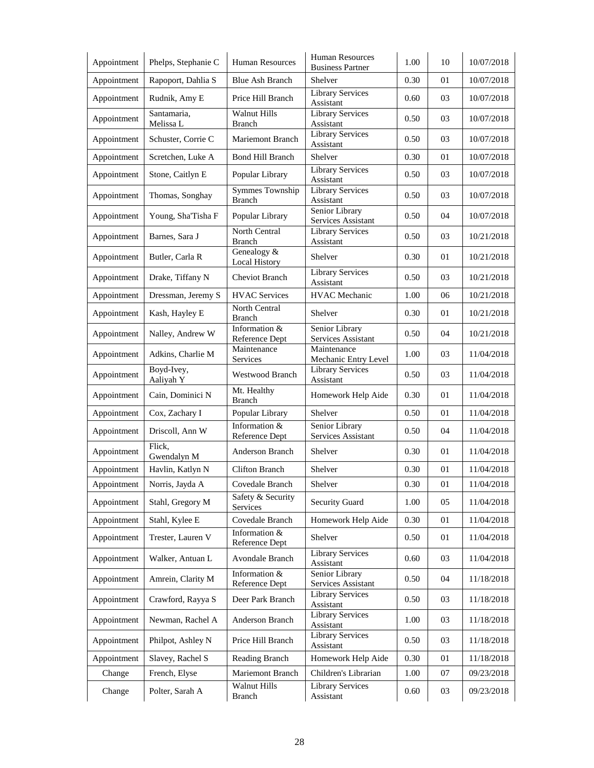| Appointment | Phelps, Stephanie C      | <b>Human Resources</b>                  | <b>Human Resources</b><br><b>Business Partner</b> | 1.00     | 10 | 10/07/2018   |
|-------------|--------------------------|-----------------------------------------|---------------------------------------------------|----------|----|--------------|
| Appointment | Rapoport, Dahlia S       | <b>Blue Ash Branch</b>                  | Shelver                                           | 0.30     | 01 | 10/07/2018   |
| Appointment | Rudnik, Amy E            | Price Hill Branch                       | <b>Library Services</b><br>Assistant              | 0.60     | 03 | 10/07/2018   |
| Appointment | Santamaria,<br>Melissa L | <b>Walnut Hills</b><br><b>Branch</b>    | <b>Library Services</b><br>Assistant              | 0.50     | 03 | 10/07/2018   |
| Appointment | Schuster, Corrie C       | Mariemont Branch                        | Library Services<br>Assistant                     | 0.50     | 03 | 10/07/2018   |
| Appointment | Scretchen, Luke A        | <b>Bond Hill Branch</b>                 | Shelver                                           | 0.30     | 01 | 10/07/2018   |
| Appointment | Stone, Caitlyn E         | Popular Library                         | <b>Library Services</b><br>Assistant              | 0.50     | 03 | 10/07/2018   |
| Appointment | Thomas, Songhay          | <b>Symmes Township</b><br><b>Branch</b> | <b>Library Services</b><br>Assistant              | 0.50     | 03 | 10/07/2018   |
| Appointment | Young, Sha'Tisha F       | Popular Library                         | Senior Library<br>Services Assistant              | 0.50     | 04 | 10/07/2018   |
| Appointment | Barnes, Sara J           | <b>North Central</b><br><b>Branch</b>   | <b>Library Services</b><br>Assistant              | 0.50     | 03 | 10/21/2018   |
| Appointment | Butler, Carla R          | Genealogy &<br><b>Local History</b>     | Shelver                                           | 0.30     | 01 | 10/21/2018   |
| Appointment | Drake, Tiffany N         | <b>Cheviot Branch</b>                   | <b>Library Services</b><br>Assistant              | 0.50     | 03 | 10/21/2018   |
| Appointment | Dressman, Jeremy S       | <b>HVAC Services</b>                    | <b>HVAC</b> Mechanic                              | 1.00     | 06 | 10/21/2018   |
| Appointment | Kash, Hayley E           | North Central<br><b>Branch</b>          | Shelver                                           | 0.30     | 01 | 10/21/2018   |
| Appointment | Nalley, Andrew W         | Information &<br>Reference Dept         | Senior Library<br>Services Assistant              | 0.50     | 04 | 10/21/2018   |
| Appointment | Adkins, Charlie M        | Maintenance<br>Services                 | Maintenance<br>Mechanic Entry Level               | 1.00     | 03 | 11/04/2018   |
| Appointment | Boyd-Ivey,<br>Aaliyah Y  | Westwood Branch                         | <b>Library Services</b><br>Assistant              | 0.50     | 03 | 11/04/2018   |
| Appointment | Cain, Dominici N         | Mt. Healthy<br><b>Branch</b>            | Homework Help Aide                                | 0.30     | 01 | 11/04/2018   |
| Appointment | Cox, Zachary I           | Popular Library                         | Shelver                                           | 0.50     | 01 | 11/04/2018   |
| Appointment | Driscoll, Ann W          | Information $&$<br>Reference Dept       | Senior Library<br>Services Assistant              | 0.50     | 04 | 11/04/2018   |
| Appointment | Flick,<br>Gwendalyn M    | Anderson Branch                         | Shelver                                           | 0.30     | 01 | 11/04/2018   |
| Appointment | Havlin, Katlyn N         | <b>Clifton Branch</b>                   | Shelver                                           | 0.30     | 01 | 11/04/2018   |
| Appointment | Norris, Jayda A          | Covedale Branch                         | Shelver                                           | 0.30     | 01 | 11/04/2018   |
| Appointment | Stahl, Gregory M         | Safety & Security<br>Services           | <b>Security Guard</b>                             | 1.00     | 05 | 11/04/2018   |
| Appointment | Stahl, Kylee E           | Covedale Branch                         | Homework Help Aide                                | 0.30     | 01 | 11/04/2018   |
| Appointment | Trester, Lauren V        | Information &<br>Reference Dept         | Shelver                                           | 0.50     | 01 | 11/04/2018   |
| Appointment | Walker, Antuan L         | Avondale Branch                         | <b>Library Services</b><br>Assistant              | 0.60     | 03 | 11/04/2018   |
| Appointment | Amrein, Clarity M        | Information &<br>Reference Dept         | Senior Library<br>Services Assistant              | 0.50     | 04 | 11/18/2018   |
| Appointment | Crawford, Rayya S        | Deer Park Branch                        | <b>Library Services</b><br>Assistant              | 0.50     | 03 | 11/18/2018   |
| Appointment | Newman, Rachel A         | Anderson Branch                         | Library Services<br>Assistant                     | 1.00     | 03 | $11/18/2018$ |
| Appointment | Philpot, Ashley N        | Price Hill Branch                       | Library Services<br>Assistant                     | 0.50     | 03 | 11/18/2018   |
| Appointment | Slavey, Rachel S         | Reading Branch                          | Homework Help Aide                                | 0.30     | 01 | 11/18/2018   |
| Change      | French, Elyse            | Mariemont Branch                        | Children's Librarian                              | $1.00\,$ | 07 | 09/23/2018   |
| Change      | Polter, Sarah A          | Walnut Hills<br><b>Branch</b>           | <b>Library Services</b><br>Assistant              | 0.60     | 03 | 09/23/2018   |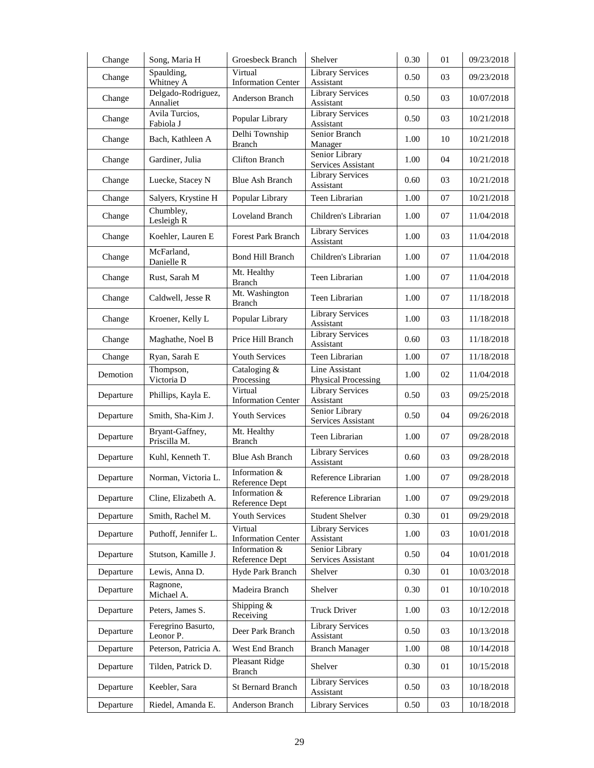| Change    | Song, Maria H                   | Groesbeck Branch                       | Shelver                                      | 0.30 | 01 | 09/23/2018 |
|-----------|---------------------------------|----------------------------------------|----------------------------------------------|------|----|------------|
| Change    | Spaulding,<br>Whitney A         | Virtual<br><b>Information Center</b>   | <b>Library Services</b><br>Assistant         | 0.50 | 03 | 09/23/2018 |
| Change    | Delgado-Rodriguez,<br>Annaliet  | Anderson Branch                        | <b>Library Services</b><br>Assistant         | 0.50 | 03 | 10/07/2018 |
| Change    | Avila Turcios,<br>Fabiola J     | Popular Library                        | <b>Library Services</b><br>Assistant         | 0.50 | 03 | 10/21/2018 |
| Change    | Bach, Kathleen A                | Delhi Township<br><b>Branch</b>        | Senior Branch<br>Manager                     | 1.00 | 10 | 10/21/2018 |
| Change    | Gardiner, Julia                 | <b>Clifton Branch</b>                  | Senior Library<br>Services Assistant         | 1.00 | 04 | 10/21/2018 |
| Change    | Luecke, Stacey N                | Blue Ash Branch                        | <b>Library Services</b><br>Assistant         | 0.60 | 03 | 10/21/2018 |
| Change    | Salyers, Krystine H             | Popular Library                        | Teen Librarian                               | 1.00 | 07 | 10/21/2018 |
| Change    | Chumbley,<br>Lesleigh R         | Loveland Branch                        | Children's Librarian                         | 1.00 | 07 | 11/04/2018 |
| Change    | Koehler, Lauren E               | <b>Forest Park Branch</b>              | <b>Library Services</b><br>Assistant         | 1.00 | 03 | 11/04/2018 |
| Change    | McFarland,<br>Danielle R        | <b>Bond Hill Branch</b>                | Children's Librarian                         | 1.00 | 07 | 11/04/2018 |
| Change    | Rust, Sarah M                   | Mt. Healthy<br><b>Branch</b>           | Teen Librarian                               | 1.00 | 07 | 11/04/2018 |
| Change    | Caldwell, Jesse R               | Mt. Washington<br><b>Branch</b>        | Teen Librarian                               | 1.00 | 07 | 11/18/2018 |
| Change    | Kroener, Kelly L                | Popular Library                        | <b>Library Services</b><br>Assistant         | 1.00 | 03 | 11/18/2018 |
| Change    | Maghathe, Noel B                | Price Hill Branch                      | <b>Library Services</b><br>Assistant         | 0.60 | 03 | 11/18/2018 |
| Change    | Ryan, Sarah E                   | <b>Youth Services</b>                  | Teen Librarian                               | 1.00 | 07 | 11/18/2018 |
| Demotion  | Thompson,<br>Victoria D         | Cataloging &<br>Processing             | Line Assistant<br><b>Physical Processing</b> | 1.00 | 02 | 11/04/2018 |
| Departure | Phillips, Kayla E.              | Virtual<br><b>Information Center</b>   | <b>Library Services</b><br>Assistant         | 0.50 | 03 | 09/25/2018 |
| Departure | Smith, Sha-Kim J.               | <b>Youth Services</b>                  | Senior Library<br>Services Assistant         | 0.50 | 04 | 09/26/2018 |
| Departure | Bryant-Gaffney,<br>Priscilla M. | Mt. Healthy<br><b>Branch</b>           | Teen Librarian                               | 1.00 | 07 | 09/28/2018 |
| Departure | Kuhl, Kenneth T.                | <b>Blue Ash Branch</b>                 | <b>Library Services</b><br>Assistant         | 0.60 | 03 | 09/28/2018 |
| Departure | Norman, Victoria L.             | Information &<br>Reference Dept        | Reference Librarian                          | 1.00 | 07 | 09/28/2018 |
| Departure | Cline, Elizabeth A.             | Information &<br>Reference Dept        | Reference Librarian                          | 1.00 | 07 | 09/29/2018 |
| Departure | Smith, Rachel M.                | <b>Youth Services</b>                  | <b>Student Shelver</b>                       | 0.30 | 01 | 09/29/2018 |
| Departure | Puthoff, Jennifer L.            | Virtual<br><b>Information Center</b>   | <b>Library Services</b><br>Assistant         | 1.00 | 03 | 10/01/2018 |
| Departure | Stutson, Kamille J.             | Information &<br>Reference Dept        | Senior Library<br>Services Assistant         | 0.50 | 04 | 10/01/2018 |
| Departure | Lewis, Anna D.                  | Hyde Park Branch                       | Shelver                                      | 0.30 | 01 | 10/03/2018 |
| Departure | Ragnone,<br>Michael A.          | Madeira Branch                         | Shelver                                      | 0.30 | 01 | 10/10/2018 |
| Departure | Peters, James S.                | Shipping &<br>Receiving                | Truck Driver                                 | 1.00 | 03 | 10/12/2018 |
| Departure | Feregrino Basurto,<br>Leonor P. | Deer Park Branch                       | <b>Library Services</b><br>Assistant         | 0.50 | 03 | 10/13/2018 |
| Departure | Peterson, Patricia A.           | West End Branch                        | <b>Branch Manager</b>                        | 1.00 | 08 | 10/14/2018 |
| Departure | Tilden, Patrick D.              | <b>Pleasant Ridge</b><br><b>Branch</b> | Shelver                                      | 0.30 | 01 | 10/15/2018 |
| Departure | Keebler, Sara                   | St Bernard Branch                      | Library Services<br>Assistant                | 0.50 | 03 | 10/18/2018 |
| Departure | Riedel, Amanda E.               | Anderson Branch                        | Library Services                             | 0.50 | 03 | 10/18/2018 |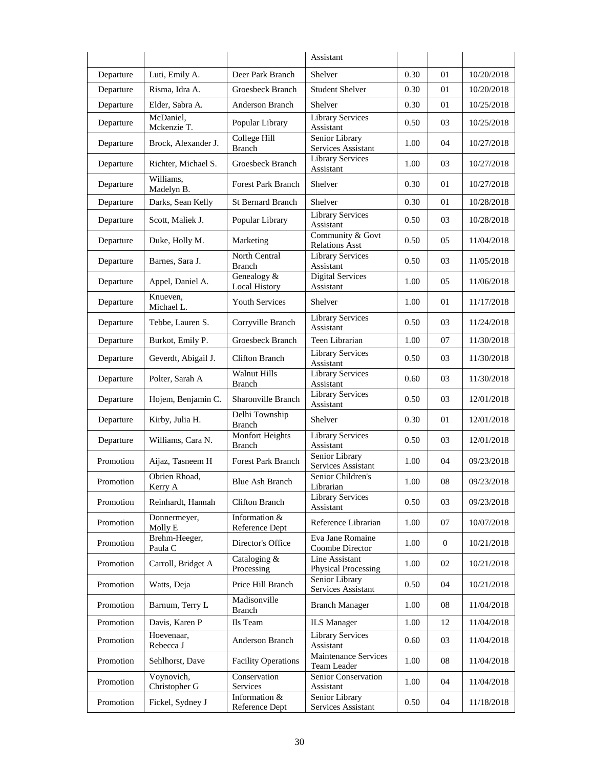|           |                             |                                         | Assistant                                    |      |              |            |
|-----------|-----------------------------|-----------------------------------------|----------------------------------------------|------|--------------|------------|
| Departure | Luti, Emily A.              | Deer Park Branch                        | Shelver                                      | 0.30 | 01           | 10/20/2018 |
| Departure | Risma, Idra A.              | Groesbeck Branch                        | <b>Student Shelver</b>                       | 0.30 | 01           | 10/20/2018 |
| Departure | Elder, Sabra A.             | Anderson Branch                         | Shelver                                      | 0.30 | 01           | 10/25/2018 |
| Departure | McDaniel,<br>Mckenzie T.    | Popular Library                         | <b>Library Services</b><br>Assistant         | 0.50 | 03           | 10/25/2018 |
| Departure | Brock, Alexander J.         | College Hill<br><b>Branch</b>           | Senior Library<br>Services Assistant         | 1.00 | 04           | 10/27/2018 |
| Departure | Richter, Michael S.         | Groesbeck Branch                        | <b>Library Services</b><br>Assistant         | 1.00 | 03           | 10/27/2018 |
| Departure | Williams,<br>Madelyn B.     | <b>Forest Park Branch</b>               | Shelver                                      | 0.30 | 01           | 10/27/2018 |
| Departure | Darks, Sean Kelly           | <b>St Bernard Branch</b>                | Shelver                                      | 0.30 | 01           | 10/28/2018 |
| Departure | Scott, Maliek J.            | Popular Library                         | <b>Library Services</b><br>Assistant         | 0.50 | 03           | 10/28/2018 |
| Departure | Duke, Holly M.              | Marketing                               | Community & Govt<br><b>Relations Asst</b>    | 0.50 | 05           | 11/04/2018 |
| Departure | Barnes, Sara J.             | North Central<br><b>Branch</b>          | <b>Library Services</b><br>Assistant         | 0.50 | 03           | 11/05/2018 |
| Departure | Appel, Daniel A.            | Genealogy &<br><b>Local History</b>     | <b>Digital Services</b><br>Assistant         | 1.00 | 05           | 11/06/2018 |
| Departure | Knueven,<br>Michael L.      | <b>Youth Services</b>                   | Shelver                                      | 1.00 | 01           | 11/17/2018 |
| Departure | Tebbe, Lauren S.            | Corryville Branch                       | Library Services<br>Assistant                | 0.50 | 03           | 11/24/2018 |
| Departure | Burkot, Emily P.            | Groesbeck Branch                        | Teen Librarian                               | 1.00 | 07           | 11/30/2018 |
| Departure | Geverdt, Abigail J.         | <b>Clifton Branch</b>                   | <b>Library Services</b><br>Assistant         | 0.50 | 03           | 11/30/2018 |
| Departure | Polter, Sarah A             | <b>Walnut Hills</b><br><b>Branch</b>    | <b>Library Services</b><br>Assistant         | 0.60 | 03           | 11/30/2018 |
| Departure | Hojem, Benjamin C.          | Sharonville Branch                      | <b>Library Services</b><br>Assistant         | 0.50 | 03           | 12/01/2018 |
| Departure | Kirby, Julia H.             | Delhi Township<br><b>Branch</b>         | Shelver                                      | 0.30 | 01           | 12/01/2018 |
| Departure | Williams, Cara N.           | <b>Monfort Heights</b><br><b>Branch</b> | <b>Library Services</b><br>Assistant         | 0.50 | 03           | 12/01/2018 |
| Promotion | Aijaz, Tasneem H            | <b>Forest Park Branch</b>               | Senior Library<br>Services Assistant         | 1.00 | 04           | 09/23/2018 |
| Promotion | Obrien Rhoad,<br>Kerry A    | Blue Ash Branch                         | Senior Children's<br>Librarian               | 1.00 | 08           | 09/23/2018 |
| Promotion | Reinhardt, Hannah           | Clifton Branch                          | <b>Library Services</b><br>Assistant         | 0.50 | 03           | 09/23/2018 |
| Promotion | Donnermeyer,<br>Molly E     | Information &<br>Reference Dept         | Reference Librarian                          | 1.00 | 07           | 10/07/2018 |
| Promotion | Brehm-Heeger,<br>Paula C    | Director's Office                       | Eva Jane Romaine<br>Coombe Director          | 1.00 | $\mathbf{0}$ | 10/21/2018 |
| Promotion | Carroll, Bridget A          | Cataloging &<br>Processing              | Line Assistant<br><b>Physical Processing</b> | 1.00 | 02           | 10/21/2018 |
| Promotion | Watts, Deja                 | Price Hill Branch                       | Senior Library<br>Services Assistant         | 0.50 | 04           | 10/21/2018 |
| Promotion | Barnum, Terry L             | Madisonville<br><b>Branch</b>           | <b>Branch Manager</b>                        | 1.00 | 08           | 11/04/2018 |
| Promotion | Davis, Karen P              | Ils Team                                | <b>ILS</b> Manager                           | 1.00 | 12           | 11/04/2018 |
| Promotion | Hoevenaar,<br>Rebecca J     | Anderson Branch                         | <b>Library Services</b><br>Assistant         | 0.60 | 03           | 11/04/2018 |
| Promotion | Sehlhorst, Dave             | <b>Facility Operations</b>              | Maintenance Services<br>Team Leader          | 1.00 | 08           | 11/04/2018 |
| Promotion | Voynovich,<br>Christopher G | Conservation<br>Services                | Senior Conservation<br>Assistant             | 1.00 | 04           | 11/04/2018 |
| Promotion | Fickel, Sydney J            | Information &<br>Reference Dept         | Senior Library<br>Services Assistant         | 0.50 | 04           | 11/18/2018 |